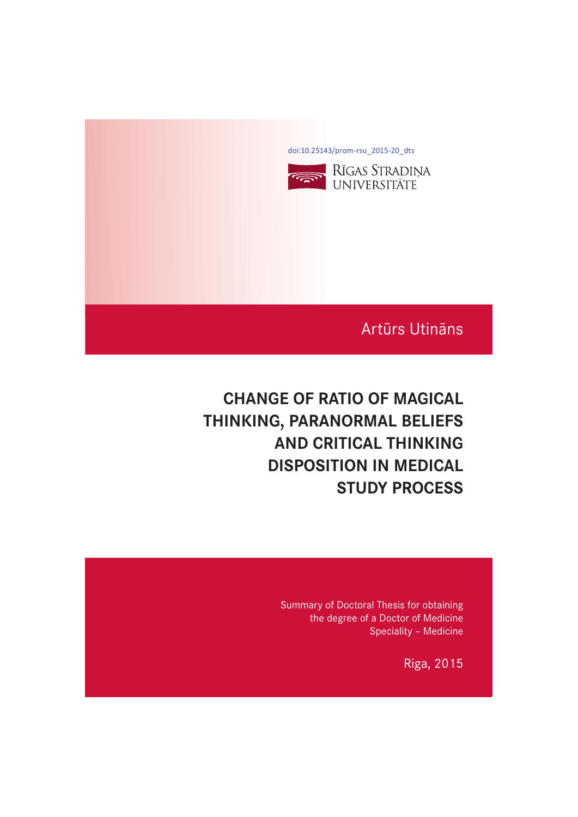[doi:10.25143/prom-rsu\\_2015-20\\_dts](https://doi.org/10.25143/prom-rsu_2015-20_dts)



# Artūrs Utināns

# **CHANGE OF RATIO OF MAGICAL THINKING, PARANORMAL BELIEFS AND CRITICAL THINKING DISPOSITION IN MEDICAL STUDY PROCESS**

Summary of Doctoral Thesis for obtaining the degree of a Doctor of Medicine Speciality – Medicine

Riga, 2015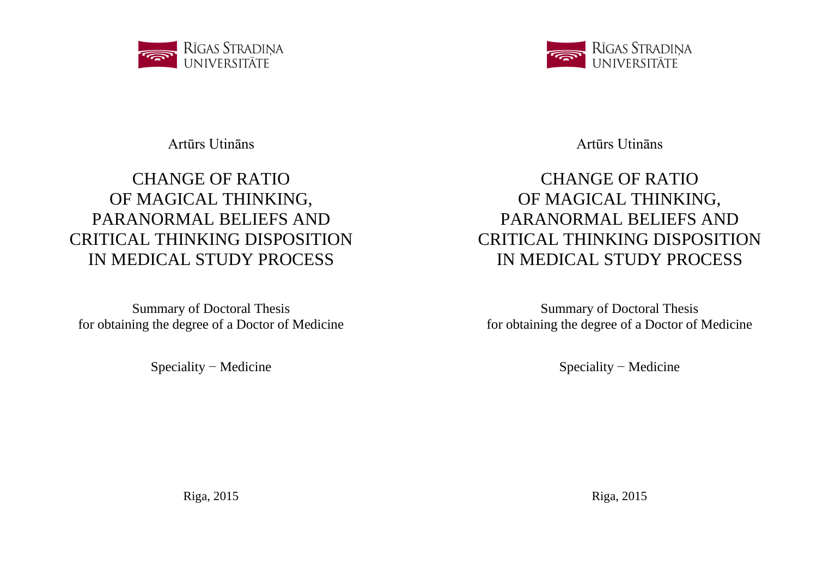

Artūrs Utināns

# CHANGE OF RATIO OF MAGICAL THINKING, PARANORMAL BELIEFS AND CRITICAL THINKING DISPOSITION IN MEDICAL STUDY PROCESS

Summary of Doctoral Thesis for obtaining the degree of a Doctor of Medicine

Speciality − Medicine

Riga, 2015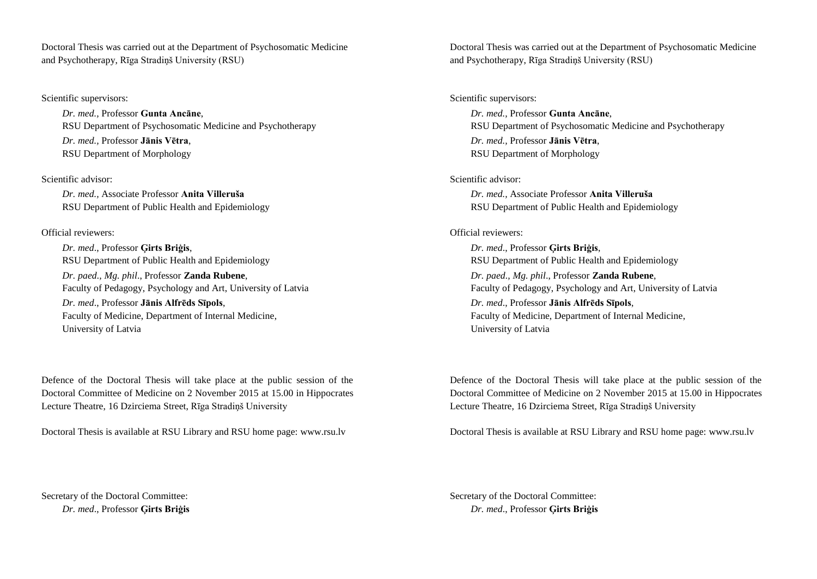Doctoral Thesis was carried out at the Department of Psychosomatic Medicine and Psychotherapy, Rīga Stradiņš University (RSU)

Scientific supervisors:

*Dr. med.,* Professor **Gunta Ancāne**, RSU Department of Psychosomatic Medicine and Psychotherapy *Dr. med.,* Professor **Jānis Vētra**, RSU Department of Morphology

Scientific advisor:

*Dr. med.,* Associate Professor **Anita Villeruša** RSU Department of Public Health and Epidemiology

Official reviewers:

*Dr. med*., Professor **Ģirts Briģis**, RSU Department of Public Health and Epidemiology *Dr. paed., Mg. phil*., Professor **Zanda Rubene**, Faculty of Pedagogy, Psychology and Art, University of Latvia *Dr. med*., Professor **Jānis Alfrēds Sīpols**, Faculty of Medicine, Department of Internal Medicine, University of Latvia

Defence of the Doctoral Thesis will take place at the public session of the Doctoral Committee of Medicine on 2 November 2015 at 15.00 in Hippocrates Lecture Theatre, 16 Dzirciema Street, Rīga Stradiņš University

Doctoral Thesis is available at RSU Library and RSU home page: www.rsu.lv

Secretary of the Doctoral Committee: *Dr. med*., Professor **Ģirts Briģis**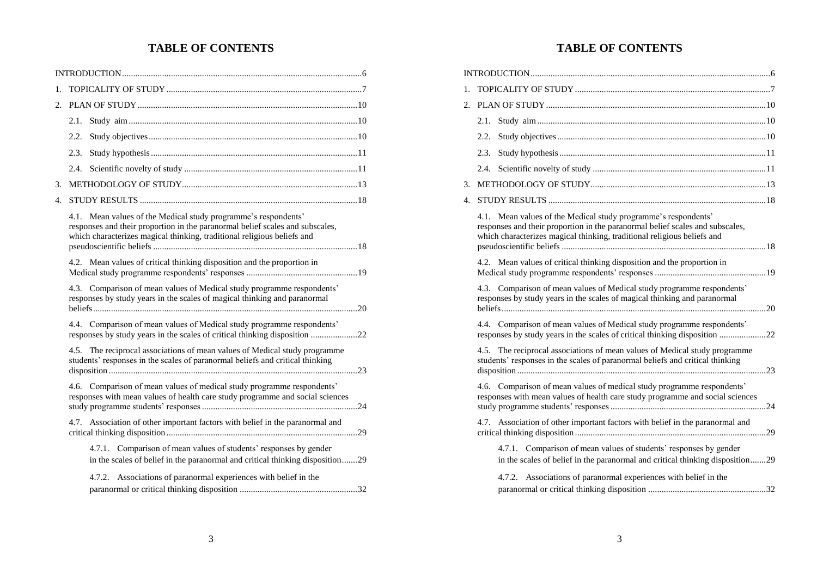# **TABLE OF CONTENTS**

| 1.          |                                                                                                                                                                                                                               |
|-------------|-------------------------------------------------------------------------------------------------------------------------------------------------------------------------------------------------------------------------------|
| $2^{+}$     |                                                                                                                                                                                                                               |
|             | 2.1.                                                                                                                                                                                                                          |
|             | 2.2.                                                                                                                                                                                                                          |
|             | 2.3.                                                                                                                                                                                                                          |
|             | 2.4.                                                                                                                                                                                                                          |
| 3.          |                                                                                                                                                                                                                               |
| $4_{\cdot}$ |                                                                                                                                                                                                                               |
|             | Mean values of the Medical study programme's respondents'<br>4.1.<br>responses and their proportion in the paranormal belief scales and subscales,<br>which characterizes magical thinking, traditional religious beliefs and |
|             | 4.2. Mean values of critical thinking disposition and the proportion in                                                                                                                                                       |
|             | 4.3. Comparison of mean values of Medical study programme respondents'<br>responses by study years in the scales of magical thinking and paranormal                                                                           |
|             | 4.4. Comparison of mean values of Medical study programme respondents'<br>responses by study years in the scales of critical thinking disposition 22                                                                          |
|             | 4.5. The reciprocal associations of mean values of Medical study programme<br>students' responses in the scales of paranormal beliefs and critical thinking                                                                   |
|             | 4.6. Comparison of mean values of medical study programme respondents'<br>responses with mean values of health care study programme and social sciences                                                                       |
|             | 4.7. Association of other important factors with belief in the paranormal and                                                                                                                                                 |
|             | 4.7.1. Comparison of mean values of students' responses by gender<br>in the scales of belief in the paranormal and critical thinking disposition29                                                                            |
|             | 4.7.2. Associations of paranormal experiences with belief in the                                                                                                                                                              |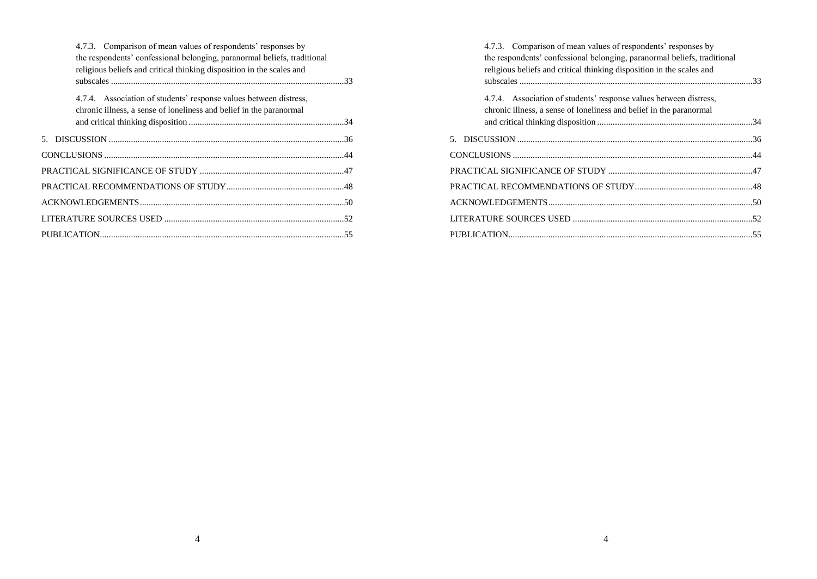| 4.7.3. Comparison of mean values of respondents' responses by            |  |
|--------------------------------------------------------------------------|--|
| the respondents' confessional belonging, paranormal beliefs, traditional |  |
| religious beliefs and critical thinking disposition in the scales and    |  |
|                                                                          |  |
| 4.7.4. Association of students' response values between distress,        |  |
| chronic illness, a sense of loneliness and belief in the paranormal      |  |
|                                                                          |  |
|                                                                          |  |
|                                                                          |  |
|                                                                          |  |
|                                                                          |  |
|                                                                          |  |
|                                                                          |  |
|                                                                          |  |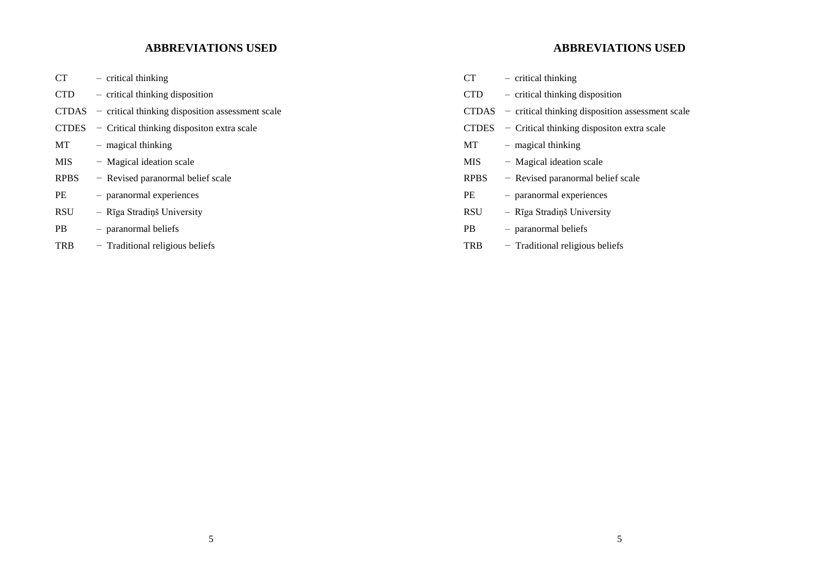# **ABBREVIATIONS USED**

| CT           | - critical thinking                                      |
|--------------|----------------------------------------------------------|
| CTD.         | - critical thinking disposition                          |
|              | $CTDAS$ – critical thinking disposition assessment scale |
| <b>CTDES</b> | - Critical thinking dispositon extra scale               |
| МT           | - magical thinking                                       |
| MIS          | - Magical ideation scale                                 |
| <b>RPBS</b>  | - Revised paranormal belief scale                        |
| PE           | - paranormal experiences                                 |
| RSU          | - Rīga Stradiņš University                               |
| PВ           | - paranormal beliefs                                     |
| TRB          | - Traditional religious beliefs                          |
|              |                                                          |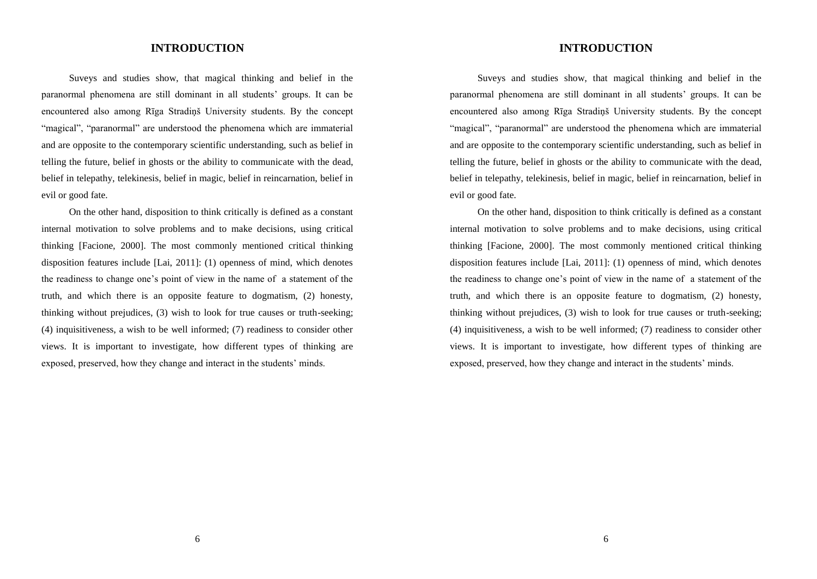## **INTRODUCTION**

Suveys and studies show, that magical thinking and belief in the paranormal phenomena are still dominant in all students' groups. It can be encountered also among Rīga Stradiņš University students. By the concept "magical", "paranormal" are understood the phenomena which are immaterial and are opposite to the contemporary scientific understanding, such as belief in telling the future, belief in ghosts or the ability to communicate with the dead, belief in telepathy, telekinesis, belief in magic, belief in reincarnation, belief in evil or good fate.

On the other hand, disposition to think critically is defined as a constant internal motivation to solve problems and to make decisions, using critical thinking [Facione, 2000]. The most commonly mentioned critical thinking disposition features include [Lai, 2011]: (1) openness of mind, which denotes the readiness to change one's point of view in the name of a statement of the truth, and which there is an opposite feature to dogmatism, (2) honesty, thinking without prejudices, (3) wish to look for true causes or truth-seeking; (4) inquisitiveness, a wish to be well informed; (7) readiness to consider other views. It is important to investigate, how different types of thinking are exposed, preserved, how they change and interact in the students' minds.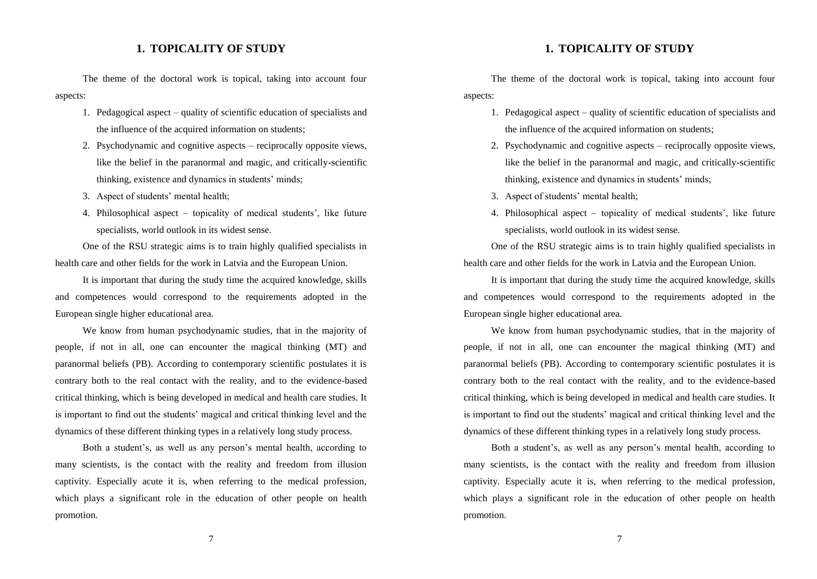## **1. TOPICALITY OF STUDY**

The theme of the doctoral work is topical, taking into account four aspects:

- 1. Pedagogical aspect quality of scientific education of specialists and the influence of the acquired information on students;
- 2. Psychodynamic and cognitive aspects reciprocally opposite views, like the belief in the paranormal and magic, and critically-scientific thinking, existence and dynamics in students' minds;
- 3. Aspect of students' mental health;
- 4. Philosophical aspect topicality of medical students', like future specialists, world outlook in its widest sense.

One of the RSU strategic aims is to train highly qualified specialists in health care and other fields for the work in Latvia and the European Union.

It is important that during the study time the acquired knowledge, skills and competences would correspond to the requirements adopted in the European single higher educational area.

We know from human psychodynamic studies, that in the majority of people, if not in all, one can encounter the magical thinking (MT) and paranormal beliefs (PB). According to contemporary scientific postulates it is contrary both to the real contact with the reality, and to the evidence-based critical thinking, which is being developed in medical and health care studies. It is important to find out the students' magical and critical thinking level and the dynamics of these different thinking types in a relatively long study process.

Both a student's, as well as any person's mental health, according to many scientists, is the contact with the reality and freedom from illusion captivity. Especially acute it is, when referring to the medical profession, which plays a significant role in the education of other people on health promotion.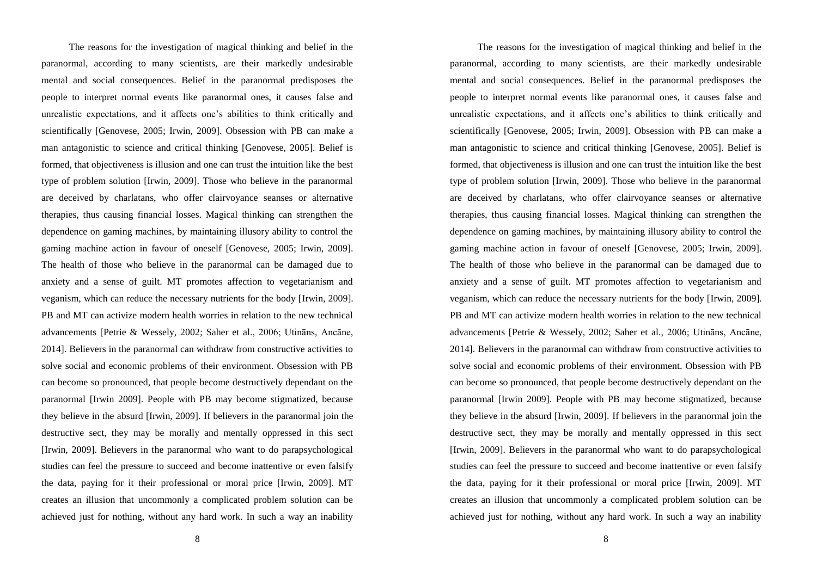The reasons for the investigation of magical thinking and belief in the paranormal, according to many scientists, are their markedly undesirable mental and social consequences. Belief in the paranormal predisposes the people to interpret normal events like paranormal ones, it causes false and unrealistic expectations, and it affects one's abilities to think critically and scientifically [Genovese, 2005; Irwin, 2009]. Obsession with PB can make a man antagonistic to science and critical thinking [Genovese, 2005]. Belief is formed, that objectiveness is illusion and one can trust the intuition like the best type of problem solution [Irwin, 2009]. Those who believe in the paranormal are deceived by charlatans, who offer clairvoyance seanses or alternative therapies, thus causing financial losses. Magical thinking can strengthen the dependence on gaming machines, by maintaining illusory ability to control the gaming machine action in favour of oneself [Genovese, 2005; Irwin, 2009]. The health of those who believe in the paranormal can be damaged due to anxiety and a sense of guilt. MT promotes affection to vegetarianism and veganism, which can reduce the necessary nutrients for the body [Irwin, 2009]. PB and MT can activize modern health worries in relation to the new technical advancements [Petrie & Wessely, 2002; Saher et al., 2006; Utināns, Ancāne, 2014]. Believers in the paranormal can withdraw from constructive activities to solve social and economic problems of their environment. Obsession with PB can become so pronounced, that people become destructively dependant on the paranormal [Irwin 2009]. People with PB may become stigmatized, because they believe in the absurd [Irwin, 2009]. If believers in the paranormal join the destructive sect, they may be morally and mentally oppressed in this sect [Irwin, 2009]. Believers in the paranormal who want to do parapsychological studies can feel the pressure to succeed and become inattentive or even falsify the data, paying for it their professional or moral price [Irwin, 2009]. MT creates an illusion that uncommonly a complicated problem solution can be achieved just for nothing, without any hard work. In such a way an inability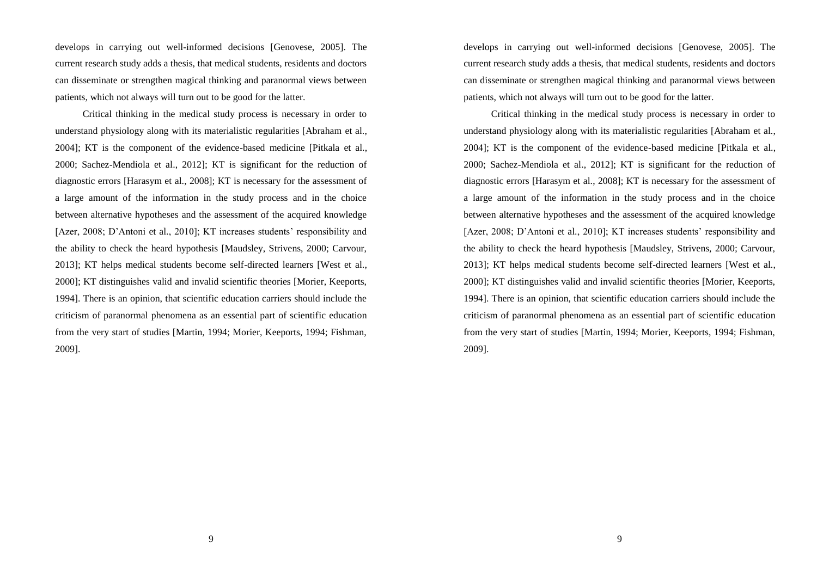develops in carrying out well-informed decisions [Genovese, 2005]. The current research study adds a thesis, that medical students, residents and doctors can disseminate or strengthen magical thinking and paranormal views between patients, which not always will turn out to be good for the latter.

Critical thinking in the medical study process is necessary in order to understand physiology along with its materialistic regularities [Abraham et al., 2004]; KT is the component of the evidence-based medicine [Pitkala et al., 2000; Sachez-Mendiola et al., 2012]; KT is significant for the reduction of diagnostic errors [Harasym et al., 2008]; KT is necessary for the assessment of a large amount of the information in the study process and in the choice between alternative hypotheses and the assessment of the acquired knowledge [Azer, 2008; D'Antoni et al., 2010]; KT increases students' responsibility and the ability to check the heard hypothesis [Maudsley, Strivens, 2000; Carvour, 2013]; KT helps medical students become self-directed learners [West et al., 2000]; KT distinguishes valid and invalid scientific theories [Morier, Keeports, 1994]. There is an opinion, that scientific education carriers should include the criticism of paranormal phenomena as an essential part of scientific education from the very start of studies [Martin, 1994; Morier, Keeports, 1994; Fishman, 2009].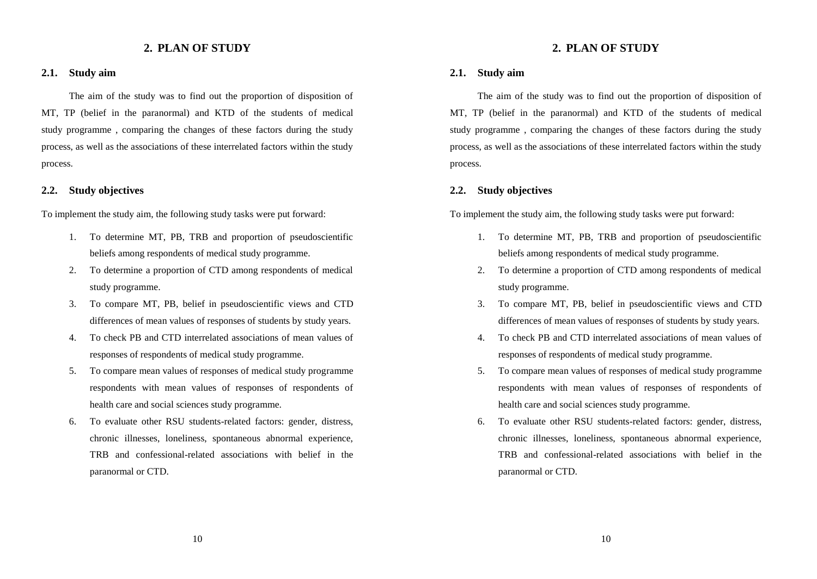## **2. PLAN OF STUDY**

#### **2.1. Study aim**

The aim of the study was to find out the proportion of disposition of MT, TP (belief in the paranormal) and KTD of the students of medical study programme , comparing the changes of these factors during the study process, as well as the associations of these interrelated factors within the study process.

#### **2.2. Study objectives**

To implement the study aim, the following study tasks were put forward:

- 1. To determine MT, PB, TRB and proportion of pseudoscientific beliefs among respondents of medical study programme.
- 2. To determine a proportion of CTD among respondents of medical study programme.
- 3. To compare MT, PB, belief in pseudoscientific views and CTD differences of mean values of responses of students by study years.
- 4. To check PB and CTD interrelated associations of mean values of responses of respondents of medical study programme.
- 5. To compare mean values of responses of medical study programme respondents with mean values of responses of respondents of health care and social sciences study programme.
- 6. To evaluate other RSU students-related factors: gender, distress, chronic illnesses, loneliness, spontaneous abnormal experience, TRB and confessional-related associations with belief in the paranormal or CTD.

10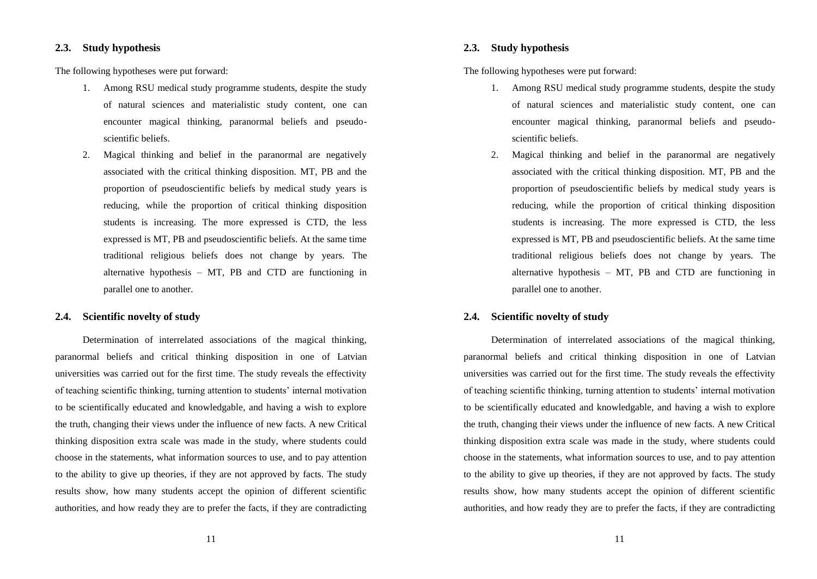## **2.3. Study hypothesis**

The following hypotheses were put forward:

- 1. Among RSU medical study programme students, despite the study of natural sciences and materialistic study content, one can encounter magical thinking, paranormal beliefs and pseudoscientific beliefs.
- 2. Magical thinking and belief in the paranormal are negatively associated with the critical thinking disposition. MT, PB and the proportion of pseudoscientific beliefs by medical study years is reducing, while the proportion of critical thinking disposition students is increasing. The more expressed is CTD, the less expressed is MT, PB and pseudoscientific beliefs. At the same time traditional religious beliefs does not change by years. The alternative hypothesis – MT, PB and CTD are functioning in parallel one to another.

#### **2.4. Scientific novelty of study**

Determination of interrelated associations of the magical thinking, paranormal beliefs and critical thinking disposition in one of Latvian universities was carried out for the first time. The study reveals the effectivity of teaching scientific thinking, turning attention to students' internal motivation to be scientifically educated and knowledgable, and having a wish to explore the truth, changing their views under the influence of new facts. A new Critical thinking disposition extra scale was made in the study, where students could choose in the statements, what information sources to use, and to pay attention to the ability to give up theories, if they are not approved by facts. The study results show, how many students accept the opinion of different scientific authorities, and how ready they are to prefer the facts, if they are contradicting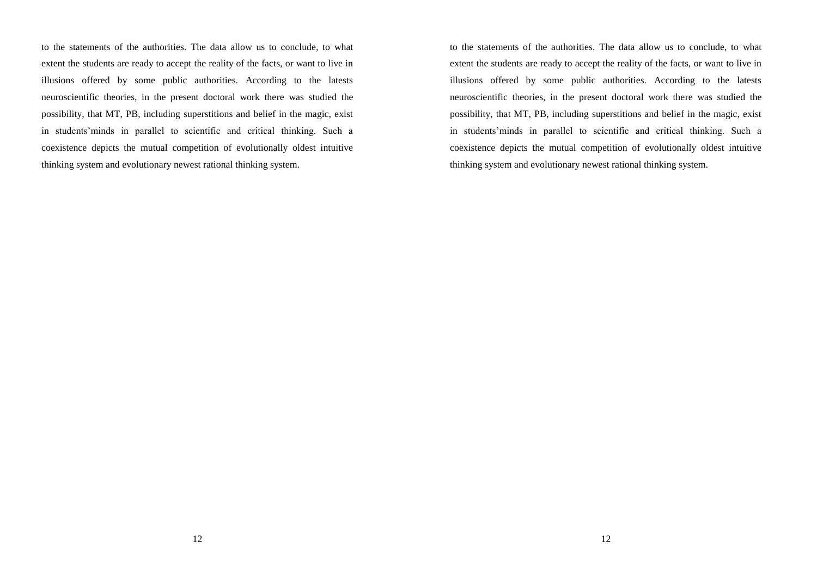to the statements of the authorities. The data allow us to conclude, to what extent the students are ready to accept the reality of the facts, or want to live in illusions offered by some public authorities. According to the latests neuroscientific theories, in the present doctoral work there was studied the possibility, that MT, PB, including superstitions and belief in the magic, exist in students'minds in parallel to scientific and critical thinking. Such a coexistence depicts the mutual competition of evolutionally oldest intuitive thinking system and evolutionary newest rational thinking system.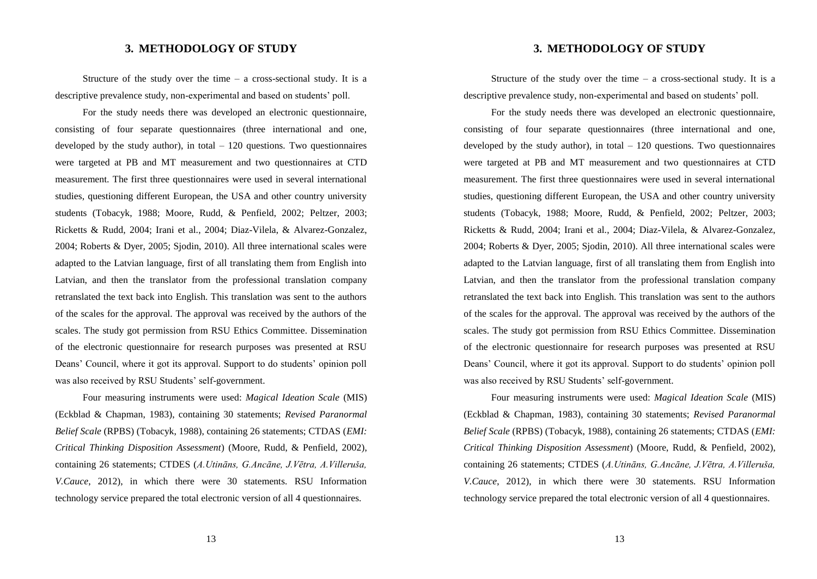## **3. METHODOLOGY OF STUDY**

Structure of the study over the time  $-$  a cross-sectional study. It is a descriptive prevalence study, non-experimental and based on students' poll.

For the study needs there was developed an electronic questionnaire, consisting of four separate questionnaires (three international and one, developed by the study author), in total  $-120$  questions. Two questionnaires were targeted at PB and MT measurement and two questionnaires at CTD measurement. The first three questionnaires were used in several international studies, questioning different European, the USA and other country university students (Tobacyk, 1988; Moore, Rudd, & Penfield, 2002; Peltzer, 2003; Ricketts & Rudd, 2004; Irani et al., 2004; Diaz-Vilela, & Alvarez-Gonzalez, 2004; Roberts & Dyer, 2005; Sjodin, 2010). All three international scales were adapted to the Latvian language, first of all translating them from English into Latvian, and then the translator from the professional translation company retranslated the text back into English. This translation was sent to the authors of the scales for the approval. The approval was received by the authors of the scales. The study got permission from RSU Ethics Committee. Dissemination of the electronic questionnaire for research purposes was presented at RSU Deans' Council, where it got its approval. Support to do students' opinion poll was also received by RSU Students' self-government.

Four measuring instruments were used: *Magical Ideation Scale* (MIS) (Eckblad & Chapman, 1983), containing 30 statements; *Revised Paranormal Belief Scale* (RPBS) (Tobacyk, 1988), containing 26 statements; CTDAS (*EMI: Critical Thinking Disposition Assessment*) (Moore, Rudd, & Penfield, 2002), containing 26 statements; CTDES (*A.Utināns, G.Ancāne, J.Vētra, A.Villeruša, V.Cauce*, 2012), in which there were 30 statements. RSU Information technology service prepared the total electronic version of all 4 questionnaires.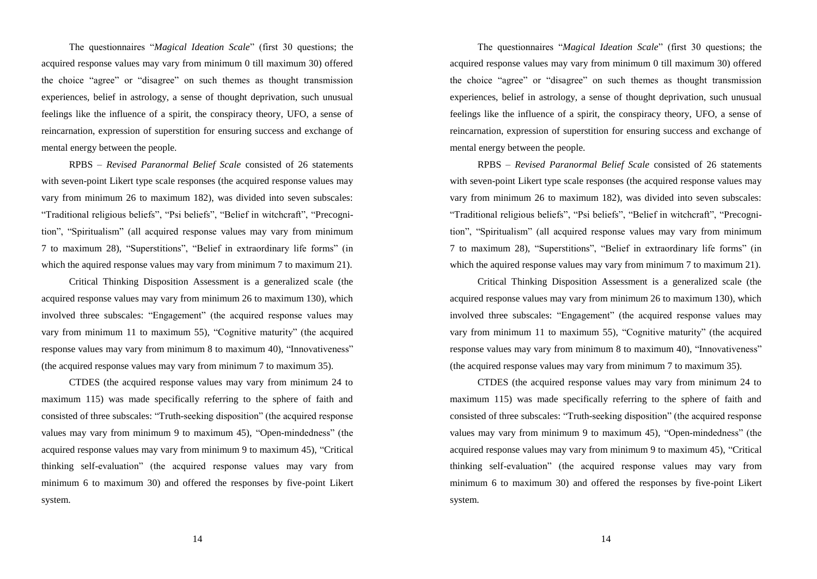The questionnaires "*Magical Ideation Scale*" (first 30 questions; the acquired response values may vary from minimum 0 till maximum 30) offered the choice "agree" or "disagree" on such themes as thought transmission experiences, belief in astrology, a sense of thought deprivation, such unusual feelings like the influence of a spirit, the conspiracy theory, UFO, a sense of reincarnation, expression of superstition for ensuring success and exchange of mental energy between the people.

RPBS – *Revised Paranormal Belief Scale* consisted of 26 statements with seven-point Likert type scale responses (the acquired response values may vary from minimum 26 to maximum 182), was divided into seven subscales: "Traditional religious beliefs", "Psi beliefs", "Belief in witchcraft", "Precognitionˮ, "Spiritualismˮ (all acquired response values may vary from minimum 7 to maximum 28), "Superstitions", "Belief in extraordinary life forms" (in which the aquired response values may vary from minimum 7 to maximum 21).

Critical Thinking Disposition Assessment is a generalized scale (the acquired response values may vary from minimum 26 to maximum 130), which involved three subscales: "Engagement" (the acquired response values may vary from minimum 11 to maximum 55), "Cognitive maturity" (the acquired response values may vary from minimum 8 to maximum 40), "Innovativeness" (the acquired response values may vary from minimum 7 to maximum 35).

CTDES (the acquired response values may vary from minimum 24 to maximum 115) was made specifically referring to the sphere of faith and consisted of three subscales: "Truth-seeking disposition" (the acquired response values may vary from minimum  $9$  to maximum  $45$ ), "Open-mindedness" (the acquired response values may vary from minimum 9 to maximum 45), "Critical thinking self-evaluation" (the acquired response values may vary from minimum 6 to maximum 30) and offered the responses by five-point Likert system.

14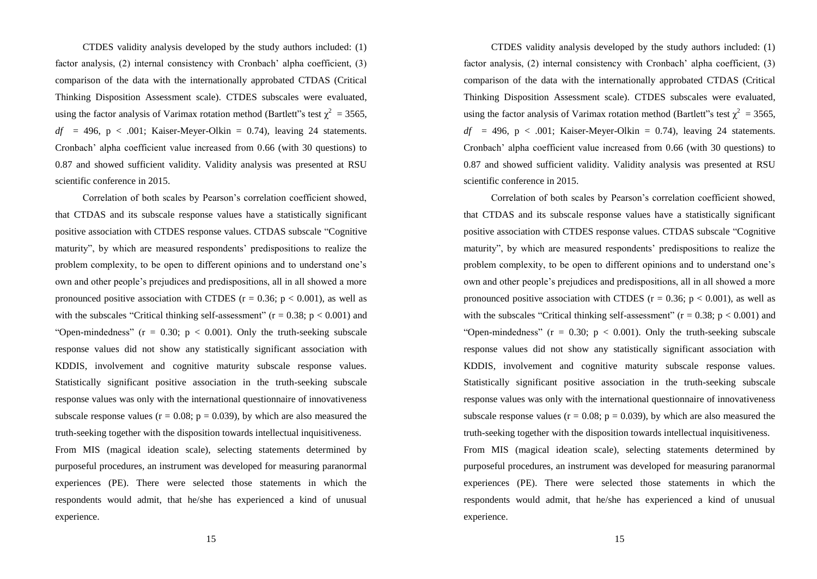CTDES validity analysis developed by the study authors included: (1) factor analysis, (2) internal consistency with Cronbach' alpha coefficient, (3) comparison of the data with the internationally approbated CTDAS (Critical Thinking Disposition Assessment scale). CTDES subscales were evaluated, using the factor analysis of Varimax rotation method (Bartlett''s test  $\chi^2 = 3565$ ,  $df = 496$ ,  $p < .001$ ; Kaiser-Meyer-Olkin = 0.74), leaving 24 statements. Cronbach' alpha coefficient value increased from 0.66 (with 30 questions) to 0.87 and showed sufficient validity. Validity analysis was presented at RSU scientific conference in 2015.

Correlation of both scales by Pearson's correlation coefficient showed, that CTDAS and its subscale response values have a statistically significant positive association with CTDES response values. CTDAS subscale "Cognitive maturity", by which are measured respondents' predispositions to realize the problem complexity, to be open to different opinions and to understand one's own and other people's prejudices and predispositions, all in all showed a more pronounced positive association with CTDES ( $r = 0.36$ ;  $p < 0.001$ ), as well as with the subscales "Critical thinking self-assessment"  $(r = 0.38; p < 0.001)$  and "Open-mindedness" ( $r = 0.30$ ;  $p < 0.001$ ). Only the truth-seeking subscale response values did not show any statistically significant association with KDDIS, involvement and cognitive maturity subscale response values. Statistically significant positive association in the truth-seeking subscale response values was only with the international questionnaire of innovativeness subscale response values ( $r = 0.08$ ;  $p = 0.039$ ), by which are also measured the truth-seeking together with the disposition towards intellectual inquisitiveness.

From MIS (magical ideation scale), selecting statements determined by purposeful procedures, an instrument was developed for measuring paranormal experiences (PE). There were selected those statements in which the respondents would admit, that he/she has experienced a kind of unusual experience.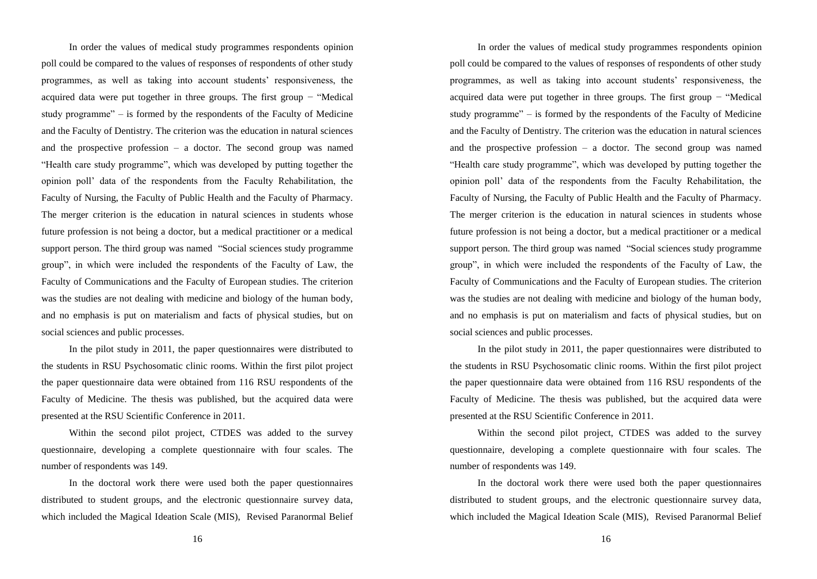In order the values of medical study programmes respondents opinion poll could be compared to the values of responses of respondents of other study programmes, as well as taking into account students' responsiveness, the acquired data were put together in three groups. The first group − "Medical study programme" – is formed by the respondents of the Faculty of Medicine and the Faculty of Dentistry. The criterion was the education in natural sciences and the prospective profession  $-$  a doctor. The second group was named "Health care study programme", which was developed by putting together the opinion poll' data of the respondents from the Faculty Rehabilitation, the Faculty of Nursing, the Faculty of Public Health and the Faculty of Pharmacy. The merger criterion is the education in natural sciences in students whose future profession is not being a doctor, but a medical practitioner or a medical support person. The third group was named "Social sciences study programme group", in which were included the respondents of the Faculty of Law, the Faculty of Communications and the Faculty of European studies. The criterion was the studies are not dealing with medicine and biology of the human body, and no emphasis is put on materialism and facts of physical studies, but on social sciences and public processes.

In the pilot study in 2011, the paper questionnaires were distributed to the students in RSU Psychosomatic clinic rooms. Within the first pilot project the paper questionnaire data were obtained from 116 RSU respondents of the Faculty of Medicine. The thesis was published, but the acquired data were presented at the RSU Scientific Conference in 2011.

Within the second pilot project, CTDES was added to the survey questionnaire, developing a complete questionnaire with four scales. The number of respondents was 149.

In the doctoral work there were used both the paper questionnaires distributed to student groups, and the electronic questionnaire survey data, which included the Magical Ideation Scale (MIS), Revised Paranormal Belief

16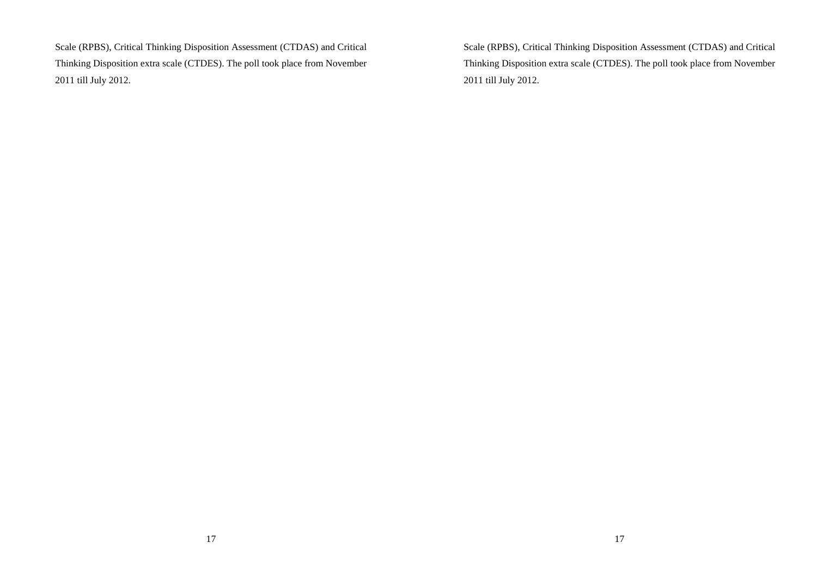Scale (RPBS), Critical Thinking Disposition Assessment (CTDAS) and Critical Thinking Disposition extra scale (CTDES). The poll took place from November 2011 till July 2012.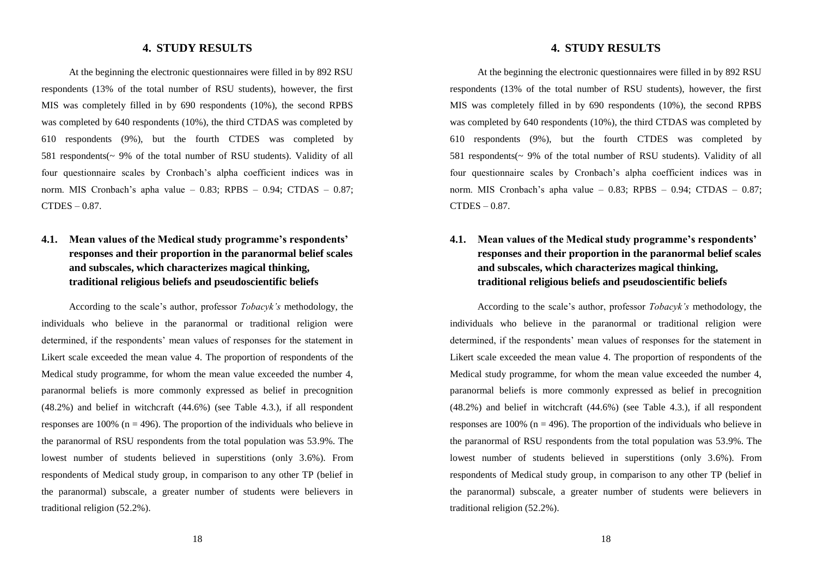#### **4. STUDY RESULTS**

At the beginning the electronic questionnaires were filled in by 892 RSU respondents (13% of the total number of RSU students), however, the first MIS was completely filled in by 690 respondents (10%), the second RPBS was completed by 640 respondents (10%), the third CTDAS was completed by 610 respondents (9%), but the fourth CTDES was completed by 581 respondents(~ 9% of the total number of RSU students). Validity of all four questionnaire scales by Cronbach's alpha coefficient indices was in norm. MIS Cronbach's apha value – 0.83; RPBS – 0.94; CTDAS – 0.87; CTDES – 0.87.

# **4.1. Mean values of the Medical study programme's respondents' responses and their proportion in the paranormal belief scales and subscales, which characterizes magical thinking, traditional religious beliefs and pseudoscientific beliefs**

According to the scale's author, professor *Tobacyk's* methodology, the individuals who believe in the paranormal or traditional religion were determined, if the respondents' mean values of responses for the statement in Likert scale exceeded the mean value 4. The proportion of respondents of the Medical study programme, for whom the mean value exceeded the number 4, paranormal beliefs is more commonly expressed as belief in precognition (48.2%) and belief in witchcraft (44.6%) (see Table 4.3.), if all respondent responses are 100% ( $n = 496$ ). The proportion of the individuals who believe in the paranormal of RSU respondents from the total population was 53.9%. The lowest number of students believed in superstitions (only 3.6%). From respondents of Medical study group, in comparison to any other TP (belief in the paranormal) subscale, a greater number of students were believers in traditional religion (52.2%).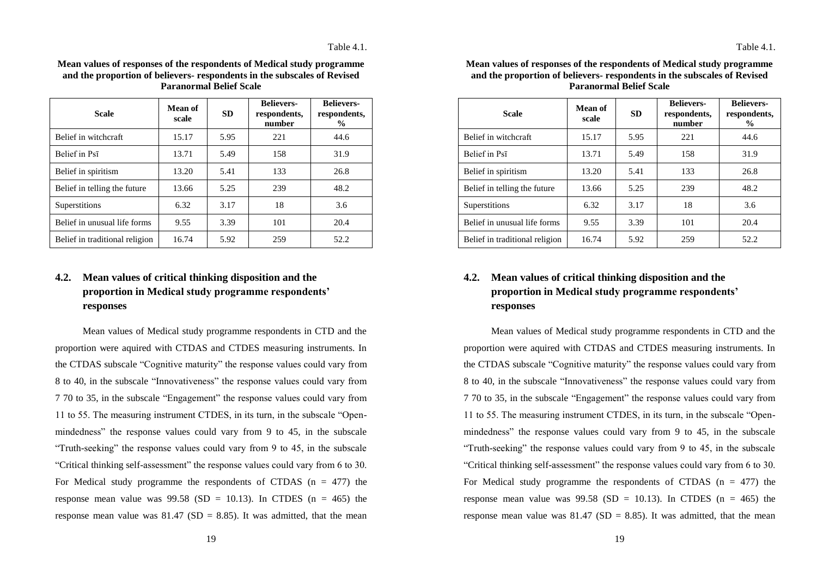| Mean values of responses of the respondents of Medical study programme   |
|--------------------------------------------------------------------------|
| and the proportion of believers- respondents in the subscales of Revised |
| <b>Paranormal Belief Scale</b>                                           |

| <b>Scale</b>                   | Mean of<br>scale | <b>SD</b> | <b>Believers-</b><br>respondents,<br>number | <b>Believers-</b><br>respondents,<br>$\frac{0}{0}$ |
|--------------------------------|------------------|-----------|---------------------------------------------|----------------------------------------------------|
| Belief in witchcraft           | 15.17            | 5.95      | 221                                         | 44.6                                               |
| Belief in Psī                  | 13.71            | 5.49      | 158                                         | 31.9                                               |
| Belief in spiritism            | 13.20            | 5.41      | 133                                         | 26.8                                               |
| Belief in telling the future   | 13.66            | 5.25      | 239                                         | 48.2                                               |
| Superstitions                  | 6.32             | 3.17      | 18                                          | 3.6                                                |
| Belief in unusual life forms   | 9.55             | 3.39      | 101                                         | 20.4                                               |
| Belief in traditional religion | 16.74            | 5.92      | 259                                         | 52.2                                               |

# **4.2. Mean values of critical thinking disposition and the proportion in Medical study programme respondents' responses**

Mean values of Medical study programme respondents in CTD and the proportion were aquired with CTDAS and CTDES measuring instruments. In the CTDAS subscale "Cognitive maturity" the response values could vary from 8 to 40, in the subscale "Innovativeness" the response values could vary from 7 70 to 35, in the subscale "Engagement" the response values could vary from 11 to 55. The measuring instrument CTDES, in its turn, in the subscale "Openmindedness" the response values could vary from 9 to 45, in the subscale "Truth-seeking" the response values could vary from 9 to 45, in the subscale "Critical thinking self-assessment" the response values could vary from 6 to 30. For Medical study programme the respondents of CTDAS  $(n = 477)$  the response mean value was  $99.58$  (SD = 10.13). In CTDES (n = 465) the response mean value was  $81.47$  (SD = 8.85). It was admitted, that the mean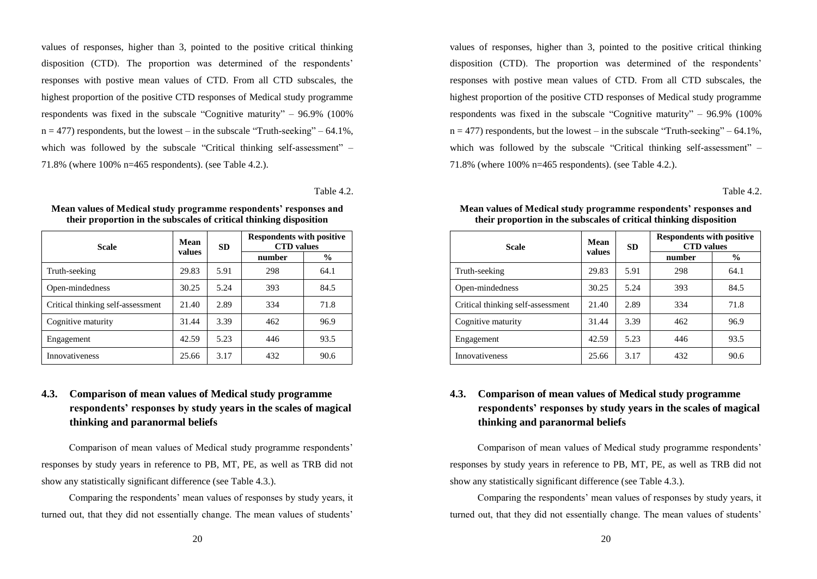values of responses, higher than 3, pointed to the positive critical thinking disposition (CTD). The proportion was determined of the respondents' responses with postive mean values of CTD. From all CTD subscales, the highest proportion of the positive CTD responses of Medical study programme respondents was fixed in the subscale "Cognitive maturity" – 96.9% (100%  $n = 477$ ) respondents, but the lowest – in the subscale "Truth-seeking" – 64.1%, which was followed by the subscale "Critical thinking self-assessment" – 71.8% (where 100% n=465 respondents). (see Table 4.2.).

Table 4.2.

| <b>Scale</b>                      | Mean<br>values | <b>SD</b> | <b>Respondents with positive</b><br><b>CTD</b> values |               |  |
|-----------------------------------|----------------|-----------|-------------------------------------------------------|---------------|--|
|                                   |                |           | number                                                | $\frac{6}{9}$ |  |
| Truth-seeking                     | 29.83          | 5.91      | 298                                                   | 64.1          |  |
| Open-mindedness                   | 30.25          | 5.24      | 393                                                   | 84.5          |  |
| Critical thinking self-assessment | 21.40          | 2.89      | 334                                                   | 71.8          |  |
| Cognitive maturity                | 31.44          | 3.39      | 462                                                   | 96.9          |  |
| Engagement                        | 42.59          | 5.23      | 446                                                   | 93.5          |  |
| Innovativeness                    | 25.66          | 3.17      | 432                                                   | 90.6          |  |

**Mean values of Medical study programme respondents' responses and their proportion in the subscales of critical thinking disposition** 

# **4.3. Comparison of mean values of Medical study programme respondents' responses by study years in the scales of magical thinking and paranormal beliefs**

Comparison of mean values of Medical study programme respondents' responses by study years in reference to PB, MT, PE, as well as TRB did not show any statistically significant difference (see Table 4.3.).

Comparing the respondents' mean values of responses by study years, it turned out, that they did not essentially change. The mean values of students'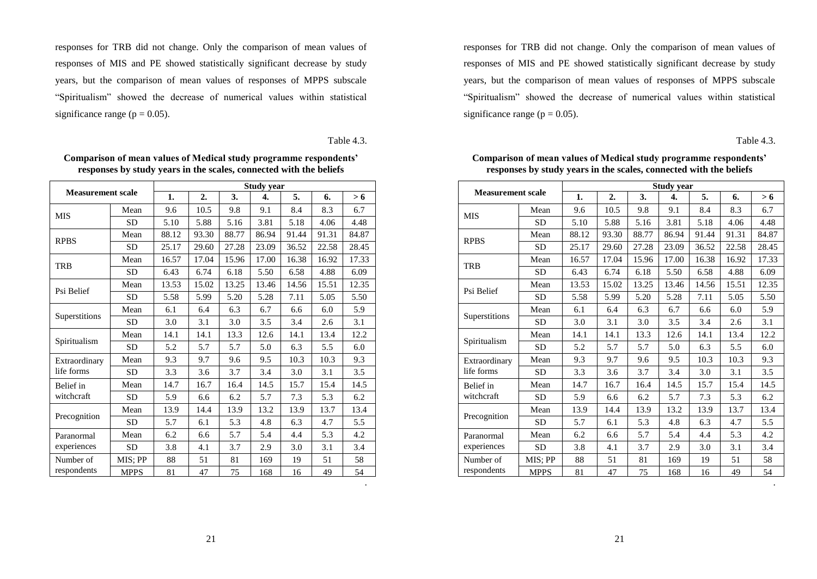responses for TRB did not change. Only the comparison of mean values of responses of MIS and PE showed statistically significant decrease by study years, but the comparison of mean values of responses of MPPS subscale "Spiritualism" showed the decrease of numerical values within statistical significance range ( $p = 0.05$ ).

Table 4.3.

.

| <b>Measurement scale</b> |             | <b>Study year</b> |                  |       |       |       |       |       |  |  |  |
|--------------------------|-------------|-------------------|------------------|-------|-------|-------|-------|-------|--|--|--|
|                          |             | 1.                | $\overline{2}$ . | 3.    | 4.    | 5.    | 6.    | > 6   |  |  |  |
| <b>MIS</b>               | Mean        | 9.6               | 10.5             | 9.8   | 9.1   | 8.4   | 8.3   | 6.7   |  |  |  |
|                          | <b>SD</b>   | 5.10              | 5.88             | 5.16  | 3.81  | 5.18  | 4.06  | 4.48  |  |  |  |
| <b>RPBS</b>              | Mean        | 88.12             | 93.30            | 88.77 | 86.94 | 91.44 | 91.31 | 84.87 |  |  |  |
|                          | <b>SD</b>   | 25.17             | 29.60            | 27.28 | 23.09 | 36.52 | 22.58 | 28.45 |  |  |  |
| TRB                      | Mean        | 16.57             | 17.04            | 15.96 | 17.00 | 16.38 | 16.92 | 17.33 |  |  |  |
|                          | <b>SD</b>   | 6.43              | 6.74             | 6.18  | 5.50  | 6.58  | 4.88  | 6.09  |  |  |  |
| Psi Belief               | Mean        | 13.53             | 15.02            | 13.25 | 13.46 | 14.56 | 15.51 | 12.35 |  |  |  |
|                          | <b>SD</b>   | 5.58              | 5.99             | 5.20  | 5.28  | 7.11  | 5.05  | 5.50  |  |  |  |
|                          | Mean        | 6.1               | 6.4              | 6.3   | 6.7   | 6.6   | 6.0   | 5.9   |  |  |  |
| Superstitions            | <b>SD</b>   | 3.0               | 3.1              | 3.0   | 3.5   | 3.4   | 2.6   | 3.1   |  |  |  |
|                          | Mean        | 14.1              | 14.1             | 13.3  | 12.6  | 14.1  | 13.4  | 12.2  |  |  |  |
| Spiritualism             | <b>SD</b>   | 5.2               | 5.7              | 5.7   | 5.0   | 6.3   | 5.5   | 6.0   |  |  |  |
| Extraordinary            | Mean        | 9.3               | 9.7              | 9.6   | 9.5   | 10.3  | 10.3  | 9.3   |  |  |  |
| life forms               | <b>SD</b>   | 3.3               | 3.6              | 3.7   | 3.4   | 3.0   | 3.1   | 3.5   |  |  |  |
| Belief in                | Mean        | 14.7              | 16.7             | 16.4  | 14.5  | 15.7  | 15.4  | 14.5  |  |  |  |
| witchcraft               | <b>SD</b>   | 5.9               | 6.6              | 6.2   | 5.7   | 7.3   | 5.3   | 6.2   |  |  |  |
| Precognition             | Mean        | 13.9              | 14.4             | 13.9  | 13.2  | 13.9  | 13.7  | 13.4  |  |  |  |
|                          | <b>SD</b>   | 5.7               | 6.1              | 5.3   | 4.8   | 6.3   | 4.7   | 5.5   |  |  |  |
| Paranormal               | Mean        | 6.2               | 6.6              | 5.7   | 5.4   | 4.4   | 5.3   | 4.2   |  |  |  |
| experiences              | <b>SD</b>   | 3.8               | 4.1              | 3.7   | 2.9   | 3.0   | 3.1   | 3.4   |  |  |  |
| Number of                | MIS; PP     | 88                | 51               | 81    | 169   | 19    | 51    | 58    |  |  |  |
| respondents              | <b>MPPS</b> | 81                | 47               | 75    | 168   | 16    | 49    | 54    |  |  |  |

**Comparison of mean values of Medical study programme respondents' responses by study years in the scales, connected with the beliefs**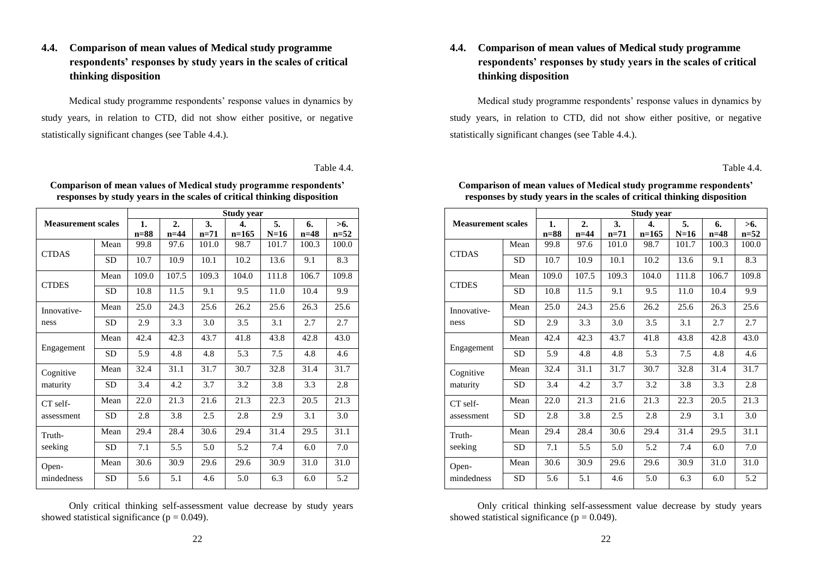# **4.4. Comparison of mean values of Medical study programme respondents' responses by study years in the scales of critical thinking disposition**

Medical study programme respondents' response values in dynamics by study years, in relation to CTD, did not show either positive, or negative statistically significant changes (see Table 4.4.).

Table 4.4.

|                           |              | <b>Study year</b> |              |               |              |              |               |       |  |  |  |
|---------------------------|--------------|-------------------|--------------|---------------|--------------|--------------|---------------|-------|--|--|--|
| <b>Measurement scales</b> | 1.<br>$n=88$ | 2.<br>$n=44$      | 3.<br>$n=71$ | 4.<br>$n=165$ | 5.<br>$N=16$ | 6.<br>$n=48$ | >6.<br>$n=52$ |       |  |  |  |
| <b>CTDAS</b>              | Mean         | 99.8              | 97.6         | 101.0         | 98.7         | 101.7        | 100.3         | 100.0 |  |  |  |
|                           | <b>SD</b>    | 10.7              | 10.9         | 10.1          | 10.2         | 13.6         | 9.1           | 8.3   |  |  |  |
| <b>CTDES</b>              | Mean         | 109.0             | 107.5        | 109.3         | 104.0        | 111.8        | 106.7         | 109.8 |  |  |  |
|                           | SD           | 10.8              | 11.5         | 9.1           | 9.5          | 11.0         | 10.4          | 9.9   |  |  |  |
| Innovative-               | Mean         | 25.0              | 24.3         | 25.6          | 26.2         | 25.6         | 26.3          | 25.6  |  |  |  |
| ness                      | SD.          | 2.9               | 3.3          | 3.0           | 3.5          | 3.1          | 2.7           | 2.7   |  |  |  |
|                           | Mean         | 42.4              | 42.3         | 43.7          | 41.8         | 43.8         | 42.8          | 43.0  |  |  |  |
| Engagement                | <b>SD</b>    | 5.9               | 4.8          | 4.8           | 5.3          | 7.5          | 4.8           | 4.6   |  |  |  |
| Cognitive                 | Mean         | 32.4              | 31.1         | 31.7          | 30.7         | 32.8         | 31.4          | 31.7  |  |  |  |
| maturity                  | SD           | 3.4               | 4.2          | 3.7           | 3.2          | 3.8          | 3.3           | 2.8   |  |  |  |
| CT self-                  | Mean         | 22.0              | 21.3         | 21.6          | 21.3         | 22.3         | 20.5          | 21.3  |  |  |  |
| assessment                | <b>SD</b>    | 2.8               | 3.8          | 2.5           | 2.8          | 2.9          | 3.1           | 3.0   |  |  |  |
| Truth-                    | Mean         | 29.4              | 28.4         | 30.6          | 29.4         | 31.4         | 29.5          | 31.1  |  |  |  |
| seeking                   | <b>SD</b>    | 7.1               | 5.5          | 5.0           | 5.2          | 7.4          | 6.0           | 7.0   |  |  |  |
| Open-                     | Mean         | 30.6              | 30.9         | 29.6          | 29.6         | 30.9         | 31.0          | 31.0  |  |  |  |
| mindedness                | SD           | 5.6               | 5.1          | 4.6           | 5.0          | 6.3          | 6.0           | 5.2   |  |  |  |

**Comparison of mean values of Medical study programme respondents' responses by study years in the scales of critical thinking disposition** 

Only critical thinking self-assessment value decrease by study years showed statistical significance ( $p = 0.049$ ).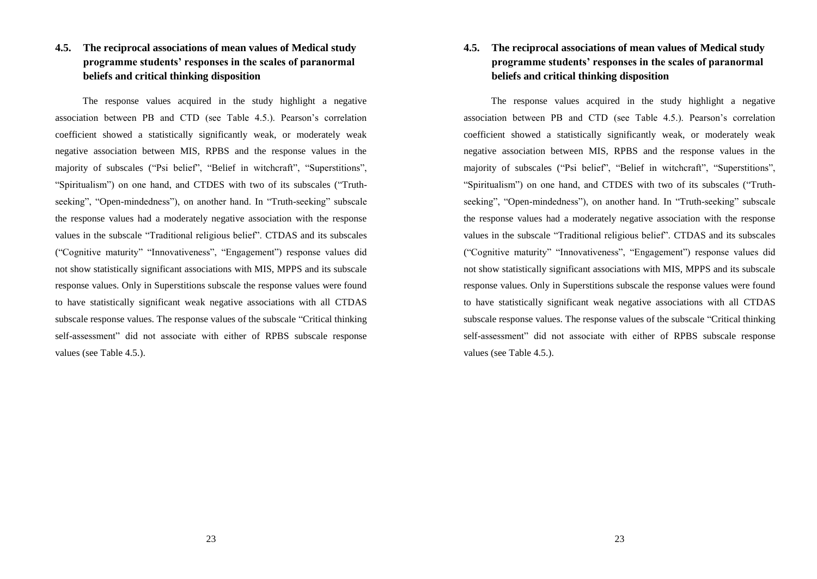# **4.5. The reciprocal associations of mean values of Medical study programme students' responses in the scales of paranormal beliefs and critical thinking disposition**

The response values acquired in the study highlight a negative association between PB and CTD (see Table 4.5.). Pearson's correlation coefficient showed a statistically significantly weak, or moderately weak negative association between MIS, RPBS and the response values in the majority of subscales ("Psi belief", "Belief in witchcraft", "Superstitions", "Spiritualism") on one hand, and CTDES with two of its subscales ("Truthseeking", "Open-mindedness"), on another hand. In "Truth-seeking" subscale the response values had a moderately negative association with the response values in the subscale "Traditional religious belief". CTDAS and its subscales ("Cognitive maturity" "Innovativeness", "Engagement") response values did not show statistically significant associations with MIS, MPPS and its subscale response values. Only in Superstitions subscale the response values were found to have statistically significant weak negative associations with all CTDAS subscale response values. The response values of the subscale "Critical thinking self-assessment" did not associate with either of RPBS subscale response values (see Table 4.5.).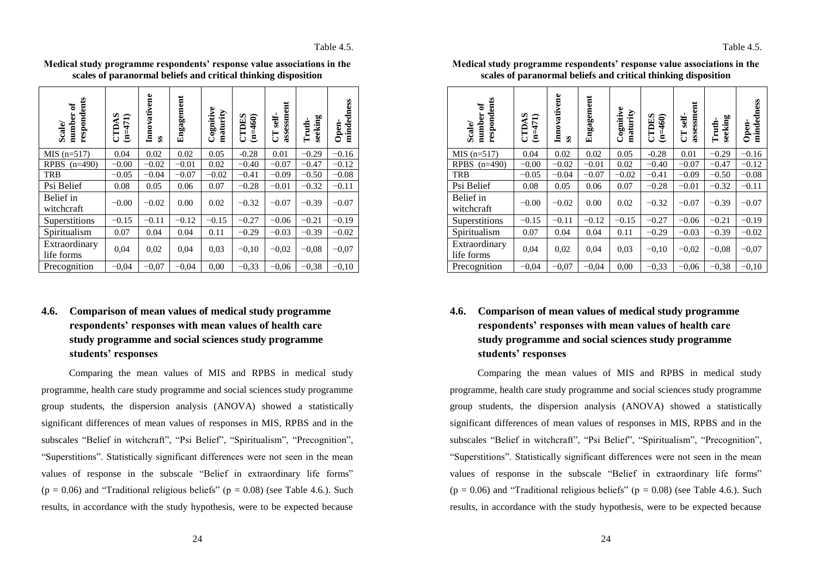Table 4.5.

| respondents<br>$\mathbf{e}$<br>number<br>Scale/ | CTDAS<br>$(n=471)$ | Innovativene<br>S | Engagement | Cognitive<br>maturity | <b>CTDES</b><br>$(n=460)$ | assessment<br>self-<br><b>ED</b> | seeking<br>Truth- | mindedness<br>Open- |
|-------------------------------------------------|--------------------|-------------------|------------|-----------------------|---------------------------|----------------------------------|-------------------|---------------------|
| $MIS$ (n=517)                                   | 0.04               | 0.02              | 0.02       | 0.05                  | $-0.28$                   | 0.01                             | $-0.29$           | $-0.16$             |
| RPBS $(n=490)$                                  | $-0.00$            | $-0.02$           | $-0.01$    | 0.02                  | $-0.40$                   | $-0.07$                          | $-0.47$           | $-0.12$             |
| <b>TRB</b>                                      | $-0.05$            | $-0.04$           | $-0.07$    | $-0.02$               | $-0.41$                   | $-0.09$                          | $-0.50$           | $-0.08$             |
| Psi Belief                                      | 0.08               | 0.05              | 0.06       | 0.07                  | $-0.28$                   | $-0.01$                          | $-0.32$           | $-0.11$             |
| Belief in<br>witchcraft                         | $-0.00$            | $-0.02$           | 0.00       | 0.02                  | $-0.32$                   | $-0.07$                          | $-0.39$           | $-0.07$             |
| Superstitions                                   | $-0.15$            | $-0.11$           | $-0.12$    | $-0.15$               | $-0.27$                   | $-0.06$                          | $-0.21$           | $-0.19$             |
| Spiritualism                                    | 0.07               | 0.04              | 0.04       | 0.11                  | $-0.29$                   | $-0.03$                          | $-0.39$           | $-0.02$             |
| Extraordinary<br>life forms                     | 0,04               | 0,02              | 0,04       | 0.03                  | $-0.10$                   | $-0.02$                          | $-0.08$           | $-0.07$             |
| Precognition                                    | $-0.04$            | $-0.07$           | $-0.04$    | 0,00                  | $-0.33$                   | $-0.06$                          | $-0.38$           | $-0.10$             |

**Medical study programme respondents' response value associations in the scales of paranormal beliefs and critical thinking disposition**

# **4.6. Comparison of mean values of medical study programme respondents' responses with mean values of health care study programme and social sciences study programme students' responses**

Comparing the mean values of MIS and RPBS in medical study programme, health care study programme and social sciences study programme group students, the dispersion analysis (ANOVA) showed a statistically significant differences of mean values of responses in MIS, RPBS and in the subscales "Belief in witchcraft", "Psi Belief", "Spiritualism", "Precognition", "Superstitions". Statistically significant differences were not seen in the mean values of response in the subscale "Belief in extraordinary life forms"  $(p = 0.06)$  and "Traditional religious beliefs"  $(p = 0.08)$  (see Table 4.6.). Such results, in accordance with the study hypothesis, were to be expected because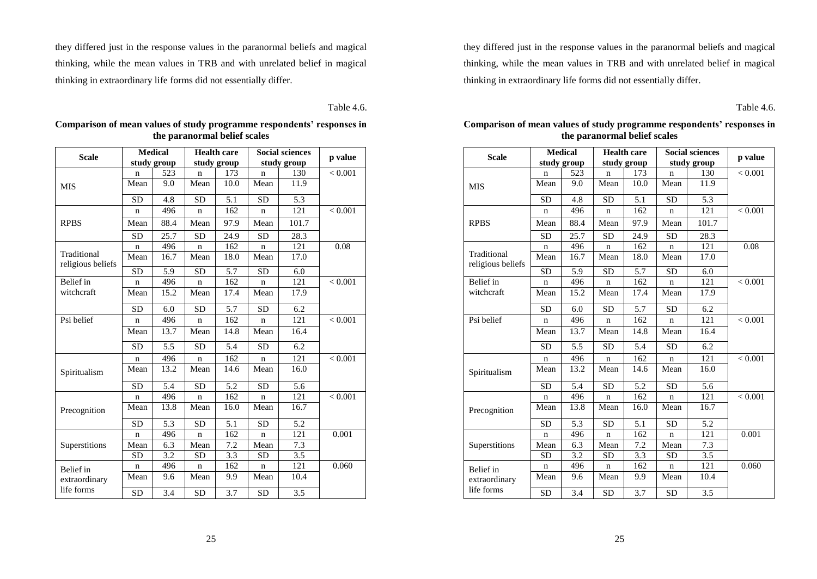they differed just in the response values in the paranormal beliefs and magical thinking, while the mean values in TRB and with unrelated belief in magical thinking in extraordinary life forms did not essentially differ.

Table 4.6.

| <b>Scale</b>                     | <b>Medical</b> |             |             | <b>Health care</b> |             | <b>Social sciences</b> | p value |
|----------------------------------|----------------|-------------|-------------|--------------------|-------------|------------------------|---------|
|                                  |                | study group |             | study group        |             | study group            |         |
|                                  | n              | 523         | n           | 173                | n           | 130                    | < 0.001 |
| <b>MIS</b>                       | Mean           | 9.0         | Mean        | 10.0               | Mean        | 11.9                   |         |
|                                  | <b>SD</b>      | 4.8         | <b>SD</b>   | 5.1                | <b>SD</b>   | 5.3                    |         |
|                                  | n              | 496         | $\mathbf n$ | 162                | $\mathbf n$ | 121                    | < 0.001 |
| <b>RPBS</b>                      | Mean           | 88.4        | Mean        | 97.9               | Mean        | 101.7                  |         |
|                                  | <b>SD</b>      | 25.7        | <b>SD</b>   | 24.9               | <b>SD</b>   | 28.3                   |         |
|                                  | n              | 496         | n           | 162                | n           | 121                    | 0.08    |
| Traditional<br>religious beliefs | Mean           | 16.7        | Mean        | 18.0               | Mean        | 17.0                   |         |
|                                  | <b>SD</b>      | 5.9         | <b>SD</b>   | 5.7                | <b>SD</b>   | 6.0                    |         |
| Belief in                        | n              | 496         | $\mathbf n$ | 162                | n           | 121                    | < 0.001 |
| witchcraft                       | Mean           | 15.2        | Mean        | 17.4               | Mean        | 17.9                   |         |
|                                  | <b>SD</b>      | 6.0         | <b>SD</b>   | 5.7                | <b>SD</b>   | 6.2                    |         |
| Psi belief                       | n              | 496         | n           | 162                | n           | 121                    | < 0.001 |
|                                  | Mean           | 13.7        | Mean        | 14.8               | Mean        | 16.4                   |         |
|                                  | <b>SD</b>      | 5.5         | <b>SD</b>   | 5.4                | <b>SD</b>   | 6.2                    |         |
|                                  | n              | 496         | $\mathbf n$ | 162                | n           | 121                    | < 0.001 |
| Spiritualism                     | Mean           | 13.2        | Mean        | 14.6               | Mean        | 16.0                   |         |
|                                  | SD             | 5.4         | <b>SD</b>   | 5.2                | <b>SD</b>   | 5.6                    |         |
|                                  | n              | 496         | $\mathbf n$ | 162                | n           | 121                    | < 0.001 |
| Precognition                     | Mean           | 13.8        | Mean        | 16.0               | Mean        | 16.7                   |         |
|                                  | <b>SD</b>      | 5.3         | <b>SD</b>   | 5.1                | <b>SD</b>   | 5.2                    |         |
|                                  | $\mathbf n$    | 496         | $\mathbf n$ | 162                | $\mathbf n$ | 121                    | 0.001   |
| Superstitions                    | Mean           | 6.3         | Mean        | 7.2                | Mean        | 7.3                    |         |
|                                  | SD             | 3.2         | SD          | 3.3                | SD          | 3.5                    |         |
| Belief in                        | n              | 496         | $\mathbf n$ | 162                | $\mathbf n$ | 121                    | 0.060   |
| extraordinary                    | Mean           | 9.6         | Mean        | 9.9                | Mean        | 10.4                   |         |
| life forms                       | <b>SD</b>      | 3.4         | <b>SD</b>   | 3.7                | <b>SD</b>   | 3.5                    |         |

**Comparison of mean values of study programme respondents' responses in the paranormal belief scales**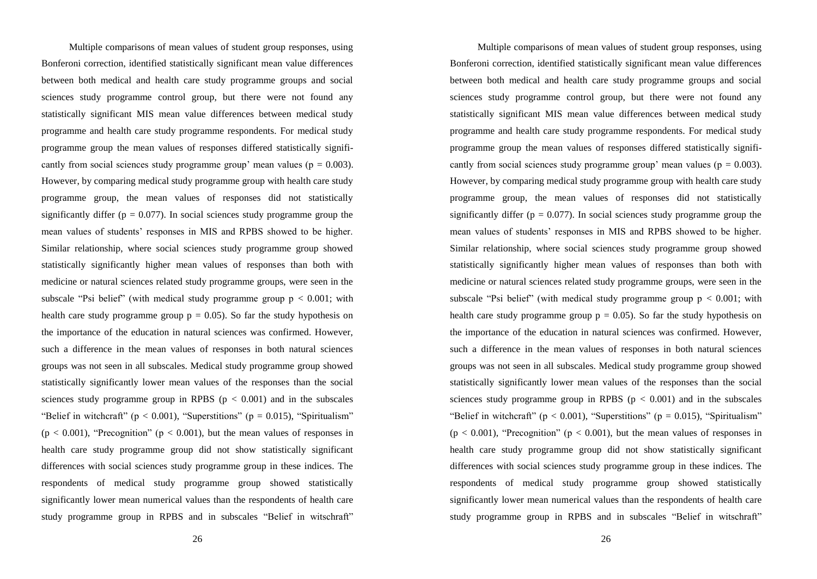Multiple comparisons of mean values of student group responses, using Bonferoni correction, identified statistically significant mean value differences between both medical and health care study programme groups and social sciences study programme control group, but there were not found any statistically significant MIS mean value differences between medical study programme and health care study programme respondents. For medical study programme group the mean values of responses differed statistically significantly from social sciences study programme group' mean values ( $p = 0.003$ ). However, by comparing medical study programme group with health care study programme group, the mean values of responses did not statistically significantly differ ( $p = 0.077$ ). In social sciences study programme group the mean values of students' responses in MIS and RPBS showed to be higher. Similar relationship, where social sciences study programme group showed statistically significantly higher mean values of responses than both with medicine or natural sciences related study programme groups, were seen in the subscale "Psi belief" (with medical study programme group  $p < 0.001$ ; with health care study programme group  $p = 0.05$ ). So far the study hypothesis on the importance of the education in natural sciences was confirmed. However, such a difference in the mean values of responses in both natural sciences groups was not seen in all subscales. Medical study programme group showed statistically significantly lower mean values of the responses than the social sciences study programme group in RPBS ( $p < 0.001$ ) and in the subscales "Belief in witchcraft" ( $p < 0.001$ ), "Superstitions" ( $p = 0.015$ ), "Spiritualism"  $(p < 0.001)$ , "Precognition" ( $p < 0.001$ ), but the mean values of responses in health care study programme group did not show statistically significant differences with social sciences study programme group in these indices. The respondents of medical study programme group showed statistically significantly lower mean numerical values than the respondents of health care study programme group in RPBS and in subscales "Belief in witschraft"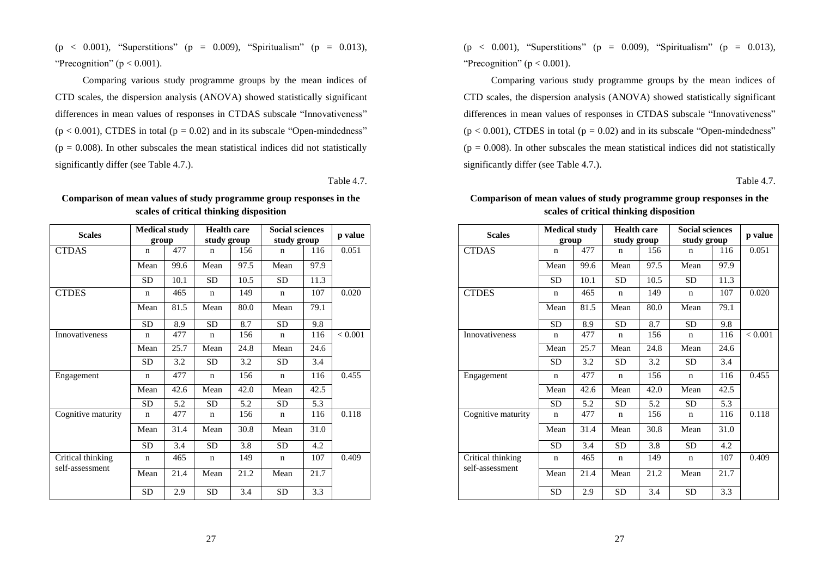(p < 0.001), "Superstitions" (p = 0.009), "Spiritualism" (p = 0.013), "Precognition" ( $p < 0.001$ ).

Comparing various study programme groups by the mean indices of CTD scales, the dispersion analysis (ANOVA) showed statistically significant differences in mean values of responses in CTDAS subscale "Innovativeness"  $(p < 0.001)$ , CTDES in total  $(p = 0.02)$  and in its subscale "Open-mindedness"  $(p = 0.008)$ . In other subscales the mean statistical indices did not statistically significantly differ (see Table 4.7.).

Table 4.7.

| <b>Scales</b>         | <b>Medical study</b> |      | <b>Health care</b> |      | <b>Social sciences</b> | p value |                |
|-----------------------|----------------------|------|--------------------|------|------------------------|---------|----------------|
|                       | group                |      | study group        |      | study group            |         |                |
| <b>CTDAS</b>          | n                    | 477  | n                  | 156  | n                      | 116     | 0.051          |
|                       | Mean                 | 99.6 | Mean               | 97.5 | Mean                   | 97.9    |                |
|                       | SD                   | 10.1 | SD                 | 10.5 | <b>SD</b>              | 11.3    |                |
| <b>CTDES</b>          | n                    | 465  | n                  | 149  | n                      | 107     | 0.020          |
|                       | Mean                 | 81.5 | Mean               | 80.0 | Mean                   | 79.1    |                |
|                       | SD                   | 8.9  | <b>SD</b>          | 8.7  | <b>SD</b>              | 9.8     |                |
| <b>Innovativeness</b> | n                    | 477  | $\mathbf n$        | 156  | n                      | 116     | ${}_{< 0.001}$ |
|                       | Mean                 | 25.7 | Mean               | 24.8 | Mean                   | 24.6    |                |
|                       | <b>SD</b>            | 3.2  | SD                 | 3.2  | <b>SD</b>              | 3.4     |                |
| Engagement            | $\mathbf n$          | 477  | $\mathbf n$        | 156  | $\mathbf n$            | 116     | 0.455          |
|                       | Mean                 | 42.6 | Mean               | 42.0 | Mean                   | 42.5    |                |
|                       | SD                   | 5.2  | SD                 | 5.2  | <b>SD</b>              | 5.3     |                |
| Cognitive maturity    | $\mathsf{n}$         | 477  | $\mathbf n$        | 156  | n                      | 116     | 0.118          |
|                       | Mean                 | 31.4 | Mean               | 30.8 | Mean                   | 31.0    |                |
|                       | <b>SD</b>            | 3.4  | <b>SD</b>          | 3.8  | SD                     | 4.2     |                |
| Critical thinking     | n                    | 465  | n                  | 149  | n                      | 107     | 0.409          |
| self-assessment       | Mean                 | 21.4 | Mean               | 21.2 | Mean                   | 21.7    |                |
|                       | <b>SD</b>            | 2.9  | <b>SD</b>          | 3.4  | <b>SD</b>              | 3.3     |                |

**Comparison of mean values of study programme group responses in the scales of critical thinking disposition**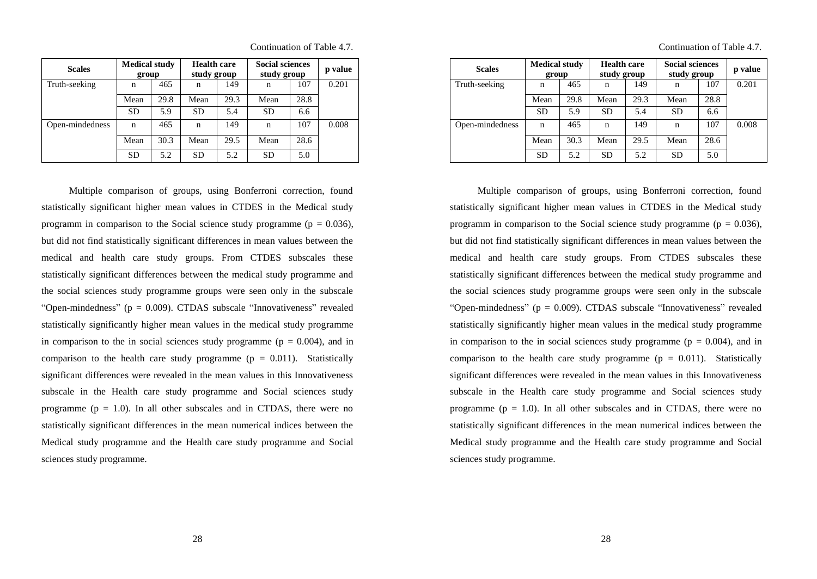| <b>Scales</b>   | <b>Medical study</b><br>group |      | <b>Health care</b><br>study group |      | <b>Social sciences</b><br>study group |      | p value |
|-----------------|-------------------------------|------|-----------------------------------|------|---------------------------------------|------|---------|
| Truth-seeking   | n                             | 465  | n                                 | 149  | n                                     | 107  | 0.201   |
|                 | Mean                          | 29.8 | Mean                              | 29.3 | Mean                                  | 28.8 |         |
|                 | <b>SD</b>                     | 5.9  | <b>SD</b>                         | 5.4  | <b>SD</b>                             | 6.6  |         |
| Open-mindedness | n                             | 465  | n                                 | 149  | n                                     | 107  | 0.008   |
|                 | Mean                          | 30.3 | Mean                              | 29.5 | Mean                                  | 28.6 |         |
|                 | <b>SD</b>                     | 5.2  | <b>SD</b>                         | 5.2  | <b>SD</b>                             | 5.0  |         |

Multiple comparison of groups, using Bonferroni correction, found statistically significant higher mean values in CTDES in the Medical study programm in comparison to the Social science study programme ( $p = 0.036$ ), but did not find statistically significant differences in mean values between the medical and health care study groups. From CTDES subscales these statistically significant differences between the medical study programme and the social sciences study programme groups were seen only in the subscale "Open-mindedness" ( $p = 0.009$ ). CTDAS subscale "Innovativeness" revealed statistically significantly higher mean values in the medical study programme in comparison to the in social sciences study programme ( $p = 0.004$ ), and in comparison to the health care study programme ( $p = 0.011$ ). Statistically significant differences were revealed in the mean values in this Innovativeness subscale in the Health care study programme and Social sciences study programme ( $p = 1.0$ ). In all other subscales and in CTDAS, there were no statistically significant differences in the mean numerical indices between the Medical study programme and the Health care study programme and Social sciences study programme.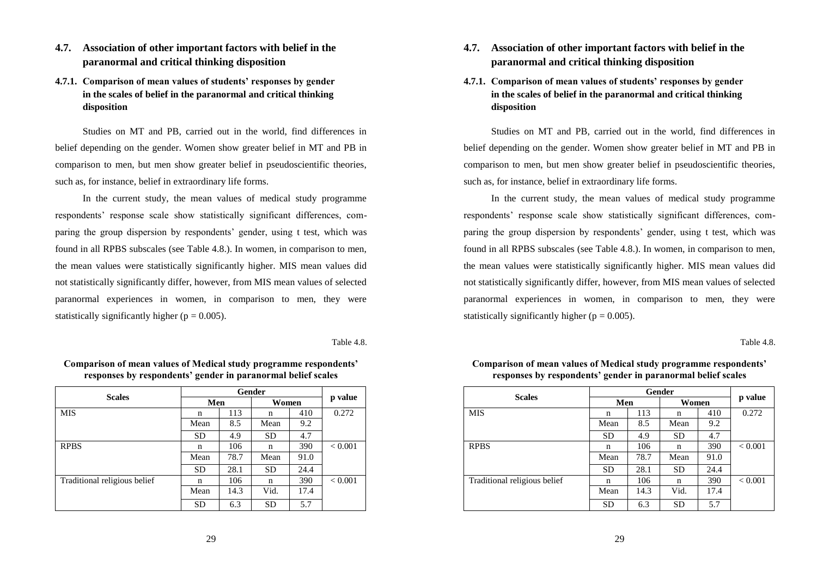## **4.7. Association of other important factors with belief in the paranormal and critical thinking disposition**

## **4.7.1. Comparison of mean values of students' responses by gender in the scales of belief in the paranormal and critical thinking disposition**

Studies on MT and PB, carried out in the world, find differences in belief depending on the gender. Women show greater belief in MT and PB in comparison to men, but men show greater belief in pseudoscientific theories, such as, for instance, belief in extraordinary life forms.

In the current study, the mean values of medical study programme respondents' response scale show statistically significant differences, comparing the group dispersion by respondents' gender, using t test, which was found in all RPBS subscales (see Table 4.8.). In women, in comparison to men, the mean values were statistically significantly higher. MIS mean values did not statistically significantly differ, however, from MIS mean values of selected paranormal experiences in women, in comparison to men, they were statistically significantly higher ( $p = 0.005$ ).

Table 4.8.

| <b>Scales</b>                |           |      |           |      |                |
|------------------------------|-----------|------|-----------|------|----------------|
|                              | Men       |      | Women     |      | p value        |
| <b>MIS</b>                   | n         | 113  | n         | 410  | 0.272          |
|                              | Mean      | 8.5  | Mean      | 9.2  |                |
|                              | <b>SD</b> | 4.9  | <b>SD</b> | 4.7  |                |
| <b>RPBS</b>                  | n         | 106  | n         | 390  | ${}_{< 0.001}$ |
|                              | Mean      | 78.7 | Mean      | 91.0 |                |
|                              | <b>SD</b> | 28.1 | <b>SD</b> | 24.4 |                |
| Traditional religious belief | n         | 106  | n         | 390  | ${}_{< 0.001}$ |
|                              | Mean      | 14.3 | Vid.      | 17.4 |                |
|                              | <b>SD</b> | 6.3  | <b>SD</b> | 5.7  |                |

**Comparison of mean values of Medical study programme respondents' responses by respondents' gender in paranormal belief scales**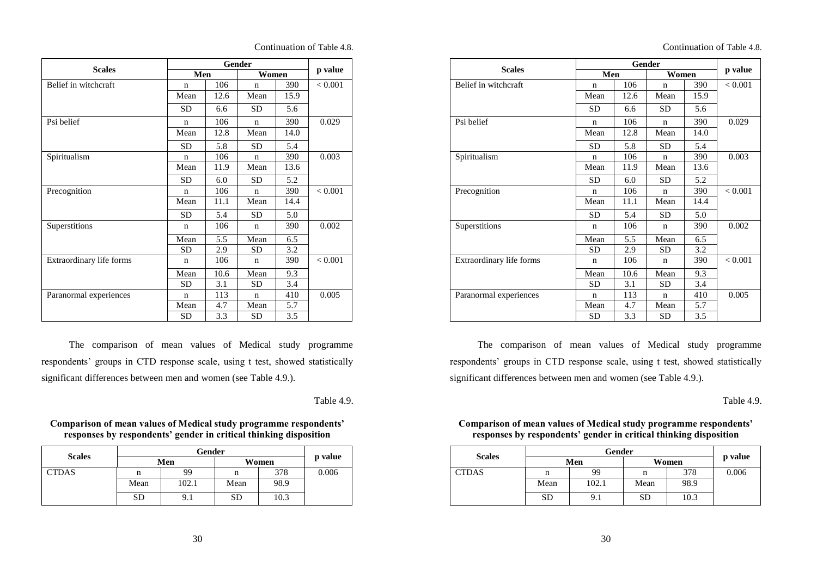| Continuation of Table 4.8. |  |
|----------------------------|--|
|----------------------------|--|

| <b>Scales</b>            | Men                |      | Women        |      | p value |
|--------------------------|--------------------|------|--------------|------|---------|
| Belief in witchcraft     | 106<br>$\mathbf n$ |      | $\mathsf{n}$ | 390  | < 0.001 |
|                          | Mean               | 12.6 | Mean         | 15.9 |         |
|                          | SD                 | 6.6  | SD           | 5.6  |         |
| Psi belief               | $\mathbf n$        | 106  | n            | 390  | 0.029   |
|                          | Mean               | 12.8 | Mean         | 14.0 |         |
|                          | <b>SD</b>          | 5.8  | SD           | 5.4  |         |
| Spiritualism             | $\mathbf n$        | 106  | n            | 390  | 0.003   |
|                          | Mean               | 11.9 | Mean         | 13.6 |         |
|                          | <b>SD</b>          | 6.0  | SD           | 5.2  |         |
| Precognition             | $\mathbf n$        | 106  | $\mathbf n$  | 390  | < 0.001 |
|                          | Mean               | 11.1 | Mean         | 14.4 |         |
|                          | <b>SD</b>          | 5.4  | SD.          | 5.0  |         |
| Superstitions            | $\mathbf n$        | 106  | $\mathbf n$  | 390  | 0.002   |
|                          | Mean               | 5.5  | Mean         | 6.5  |         |
|                          | <b>SD</b>          | 2.9  | SD           | 3.2  |         |
| Extraordinary life forms | $\mathbf n$        | 106  | $\mathbf n$  | 390  | < 0.001 |
|                          | Mean               | 10.6 | Mean         | 9.3  |         |
|                          | SD                 | 3.1  | SD           | 3.4  |         |
| Paranormal experiences   | $\mathbf n$        | 113  | n            | 410  | 0.005   |
|                          | Mean               | 4.7  | Mean         | 5.7  |         |
|                          | SD                 | 3.3  | SD           | 3.5  |         |

The comparison of mean values of Medical study programme respondents' groups in CTD response scale, using t test, showed statistically significant differences between men and women (see Table 4.9.).

Table 4.9.

#### **Comparison of mean values of Medical study programme respondents' responses by respondents' gender in critical thinking disposition**

| <b>Scales</b> |           |          |           |         |       |
|---------------|-----------|----------|-----------|---------|-------|
|               |           | Men      | Women     | p value |       |
| <b>CTDAS</b>  | n         | 99       |           | 378     | 0.006 |
|               | Mean      | 102.1    | Mean      | 98.9    |       |
|               | <b>SD</b> | $9_{.1}$ | <b>SD</b> | 10.3    |       |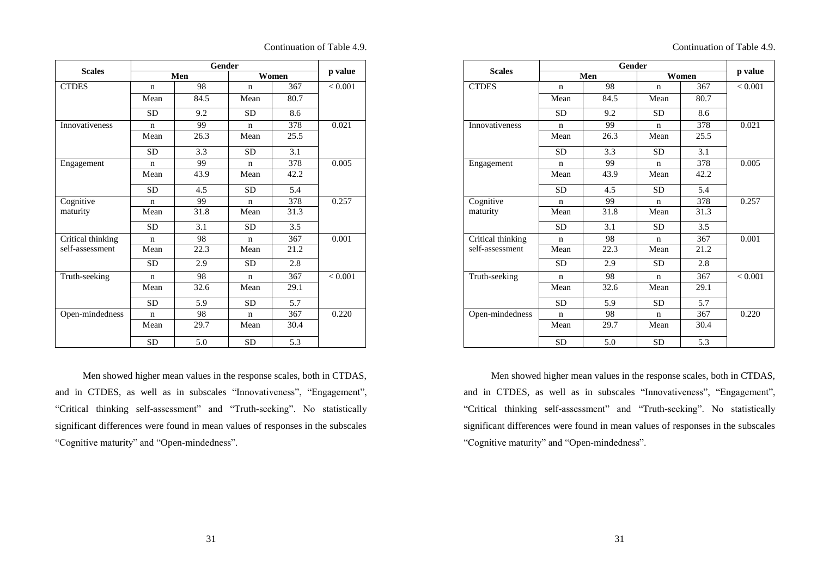|                   |              | p value |              |       |         |  |
|-------------------|--------------|---------|--------------|-------|---------|--|
| <b>Scales</b>     |              | Men     |              | Women |         |  |
| <b>CTDES</b>      | $\mathbf n$  | 98      | n            | 367   | < 0.001 |  |
|                   | Mean         | 84.5    | Mean         | 80.7  |         |  |
|                   | <b>SD</b>    | 9.2     | <b>SD</b>    | 8.6   |         |  |
| Innovativeness    | $\mathbf n$  | 99      | $\mathsf{n}$ | 378   | 0.021   |  |
|                   | Mean         | 26.3    | Mean         | 25.5  |         |  |
|                   | <b>SD</b>    | 3.3     | <b>SD</b>    | 3.1   |         |  |
| Engagement        | $\mathsf{n}$ | 99      | $\mathsf{n}$ | 378   | 0.005   |  |
|                   | Mean         | 43.9    | Mean         | 42.2  |         |  |
|                   | <b>SD</b>    | 4.5     | <b>SD</b>    | 5.4   |         |  |
| Cognitive         | $\mathsf{n}$ | 99      | $\mathsf{n}$ | 378   | 0.257   |  |
| maturity          | Mean         | 31.8    | Mean         | 31.3  |         |  |
|                   | <b>SD</b>    | 3.1     | <b>SD</b>    | 3.5   |         |  |
| Critical thinking | $\mathbf n$  | 98      | $\mathbf n$  | 367   | 0.001   |  |
| self-assessment   | Mean         | 22.3    | Mean         | 21.2  |         |  |
|                   | <b>SD</b>    | 2.9     | <b>SD</b>    | 2.8   |         |  |
| Truth-seeking     | $\mathbf n$  | 98      | $\mathbf n$  | 367   | < 0.001 |  |
|                   | Mean         | 32.6    | Mean         | 29.1  |         |  |
|                   | <b>SD</b>    | 5.9     | <b>SD</b>    | 5.7   |         |  |
| Open-mindedness   | n            | 98      | $\mathsf{n}$ | 367   | 0.220   |  |
|                   | Mean         | 29.7    | Mean         | 30.4  |         |  |
|                   | <b>SD</b>    | 5.0     | <b>SD</b>    | 5.3   |         |  |

Men showed higher mean values in the response scales, both in CTDAS, and in CTDES, as well as in subscales "Innovativeness", "Engagement", "Critical thinking self-assessment" and "Truth-seeking". No statistically significant differences were found in mean values of responses in the subscales "Cognitive maturity" and "Open-mindedness".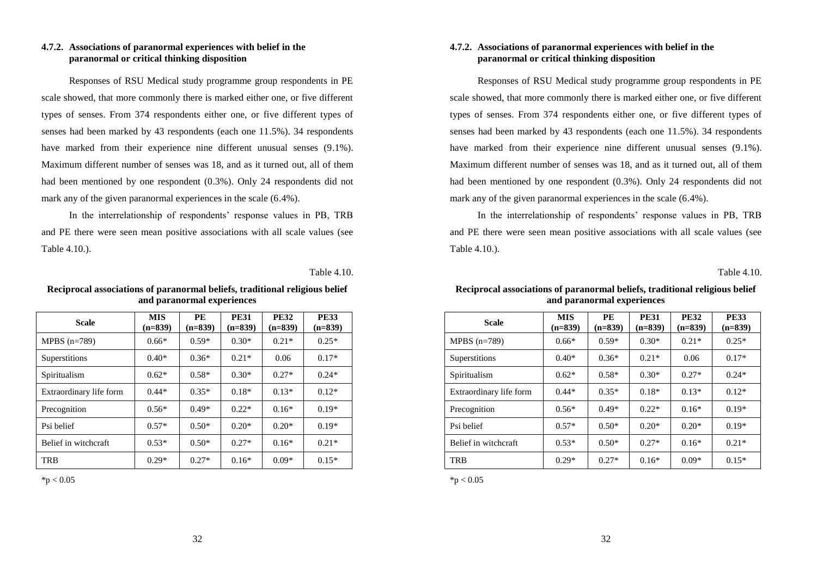#### **4.7.2. Associations of paranormal experiences with belief in the paranormal or critical thinking disposition**

Responses of RSU Medical study programme group respondents in PE scale showed, that more commonly there is marked either one, or five different types of senses. From 374 respondents either one, or five different types of senses had been marked by 43 respondents (each one 11.5%). 34 respondents have marked from their experience nine different unusual senses (9.1%). Maximum different number of senses was 18, and as it turned out, all of them had been mentioned by one respondent (0.3%). Only 24 respondents did not mark any of the given paranormal experiences in the scale (6.4%).

In the interrelationship of respondents' response values in PB, TRB and PE there were seen mean positive associations with all scale values (see Table 4.10.).

Table 4.10.

| <b>Scale</b>            | <b>MIS</b><br>$(n=839)$ | PE<br>$(n=839)$ | <b>PE31</b><br>$(n=839)$ | <b>PE32</b><br>$(n=839)$ | <b>PE33</b><br>$(n=839)$ |
|-------------------------|-------------------------|-----------------|--------------------------|--------------------------|--------------------------|
| $MPBS(n=789)$           | $0.66*$                 | $0.59*$         | $0.30*$                  | $0.21*$                  | $0.25*$                  |
| Superstitions           | $0.40*$                 | $0.36*$         | $0.21*$                  | 0.06                     | $0.17*$                  |
| Spiritualism            | $0.62*$                 | $0.58*$         | $0.30*$                  | $0.27*$                  | $0.24*$                  |
| Extraordinary life form | $0.44*$                 | $0.35*$         | $0.18*$                  | $0.13*$                  | $0.12*$                  |
| Precognition            | $0.56*$                 | $0.49*$         | $0.22*$                  | $0.16*$                  | $0.19*$                  |
| Psi belief              | $0.57*$                 | $0.50*$         | $0.20*$                  | $0.20*$                  | $0.19*$                  |
| Belief in witchcraft    | $0.53*$                 | $0.50*$         | $0.27*$                  | $0.16*$                  | $0.21*$                  |
| TRB                     | $0.29*$                 | $0.27*$         | $0.16*$                  | $0.09*$                  | $0.15*$                  |

**Reciprocal associations of paranormal beliefs, traditional religious belief and paranormal experiences**

 $*<sub>p</sub> < 0.05$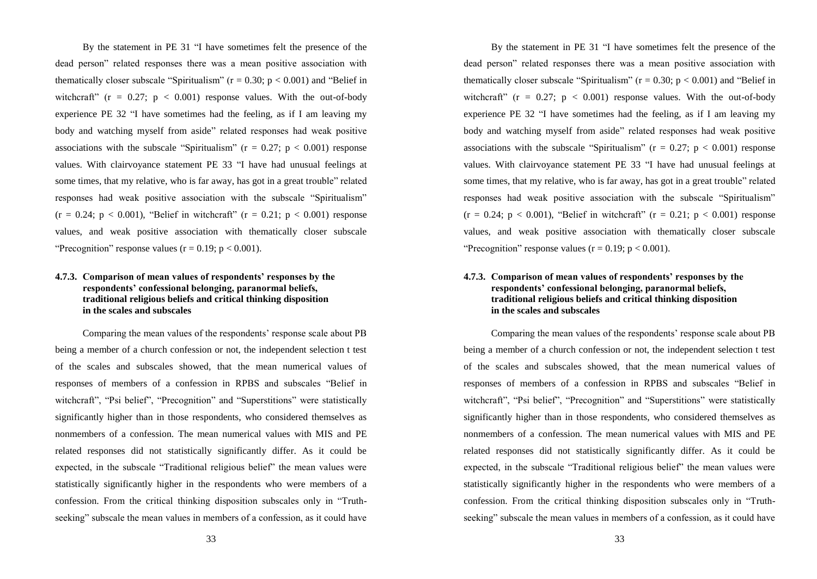By the statement in PE 31 "I have sometimes felt the presence of the dead person" related responses there was a mean positive association with thematically closer subscale "Spiritualism" ( $r = 0.30$ ;  $p < 0.001$ ) and "Belief in witchcraft"  $(r = 0.27; p < 0.001)$  response values. With the out-of-body experience PE 32 "I have sometimes had the feeling, as if I am leaving my body and watching myself from aside" related responses had weak positive associations with the subscale "Spiritualism" ( $r = 0.27$ ;  $p < 0.001$ ) response values. With clairvoyance statement PE 33 "I have had unusual feelings at some times, that my relative, who is far away, has got in a great trouble" related responses had weak positive association with the subscale "Spiritualism"  $(r = 0.24; p < 0.001)$ , "Belief in witchcraft"  $(r = 0.21; p < 0.001)$  response values, and weak positive association with thematically closer subscale "Precognition" response values ( $r = 0.19$ ;  $p < 0.001$ ).

#### **4.7.3. Comparison of mean values of respondents' responses by the respondents' confessional belonging, paranormal beliefs, traditional religious beliefs and critical thinking disposition in the scales and subscales**

Comparing the mean values of the respondents' response scale about PB being a member of a church confession or not, the independent selection t test of the scales and subscales showed, that the mean numerical values of responses of members of a confession in RPBS and subscales "Belief in witchcraft", "Psi belief", "Precognition" and "Superstitions" were statistically significantly higher than in those respondents, who considered themselves as nonmembers of a confession. The mean numerical values with MIS and PE related responses did not statistically significantly differ. As it could be expected, in the subscale "Traditional religious belief" the mean values were statistically significantly higher in the respondents who were members of a confession. From the critical thinking disposition subscales only in "Truthseeking" subscale the mean values in members of a confession, as it could have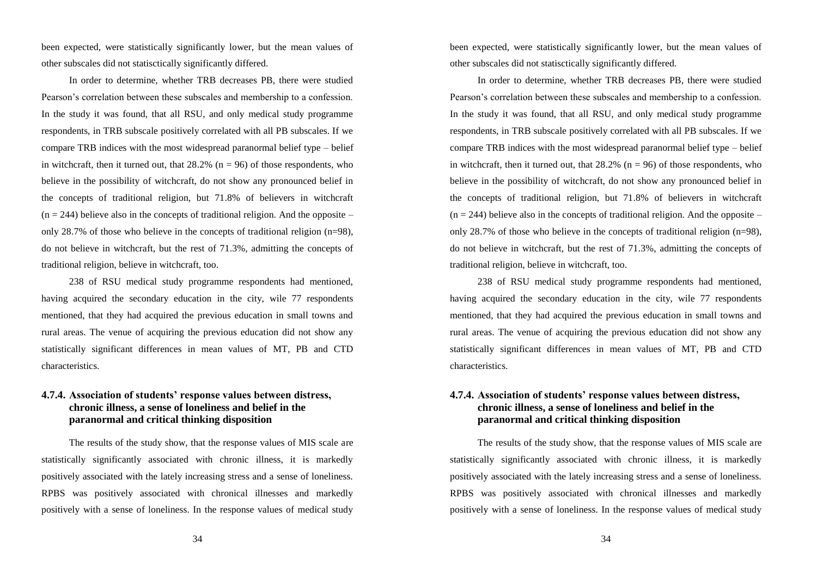been expected, were statistically significantly lower, but the mean values of other subscales did not statisctically significantly differed.

In order to determine, whether TRB decreases PB, there were studied Pearson's correlation between these subscales and membership to a confession. In the study it was found, that all RSU, and only medical study programme respondents, in TRB subscale positively correlated with all PB subscales. If we compare TRB indices with the most widespread paranormal belief type – belief in witchcraft, then it turned out, that  $28.2\%$  (n = 96) of those respondents, who believe in the possibility of witchcraft, do not show any pronounced belief in the concepts of traditional religion, but 71.8% of believers in witchcraft  $(n = 244)$  believe also in the concepts of traditional religion. And the opposite – only 28.7% of those who believe in the concepts of traditional religion  $(n=98)$ , do not believe in witchcraft, but the rest of 71.3%, admitting the concepts of traditional religion, believe in witchcraft, too.

238 of RSU medical study programme respondents had mentioned, having acquired the secondary education in the city, wile 77 respondents mentioned, that they had acquired the previous education in small towns and rural areas. The venue of acquiring the previous education did not show any statistically significant differences in mean values of MT, PB and CTD characteristics.

### **4.7.4. Association of students' response values between distress, chronic illness, a sense of loneliness and belief in the paranormal and critical thinking disposition**

The results of the study show, that the response values of MIS scale are statistically significantly associated with chronic illness, it is markedly positively associated with the lately increasing stress and a sense of loneliness. RPBS was positively associated with chronical illnesses and markedly positively with a sense of loneliness. In the response values of medical study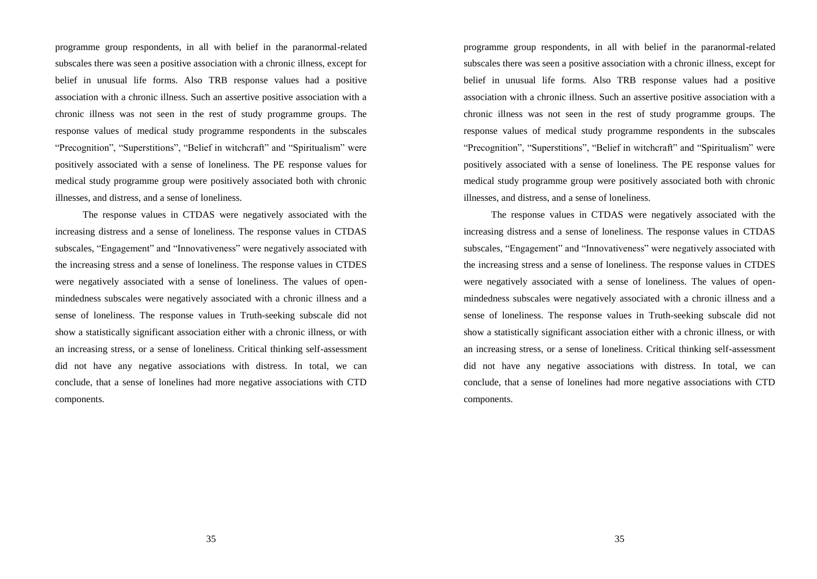programme group respondents, in all with belief in the paranormal-related subscales there was seen a positive association with a chronic illness, except for belief in unusual life forms. Also TRB response values had a positive association with a chronic illness. Such an assertive positive association with a chronic illness was not seen in the rest of study programme groups. The response values of medical study programme respondents in the subscales "Precognition", "Superstitions", "Belief in witchcraft" and "Spiritualism" were positively associated with a sense of loneliness. The PE response values for medical study programme group were positively associated both with chronic illnesses, and distress, and a sense of loneliness.

The response values in CTDAS were negatively associated with the increasing distress and a sense of loneliness. The response values in CTDAS subscales, "Engagement" and "Innovativeness" were negatively associated with the increasing stress and a sense of loneliness. The response values in CTDES were negatively associated with a sense of loneliness. The values of openmindedness subscales were negatively associated with a chronic illness and a sense of loneliness. The response values in Truth-seeking subscale did not show a statistically significant association either with a chronic illness, or with an increasing stress, or a sense of loneliness. Critical thinking self-assessment did not have any negative associations with distress. In total, we can conclude, that a sense of lonelines had more negative associations with CTD components.

35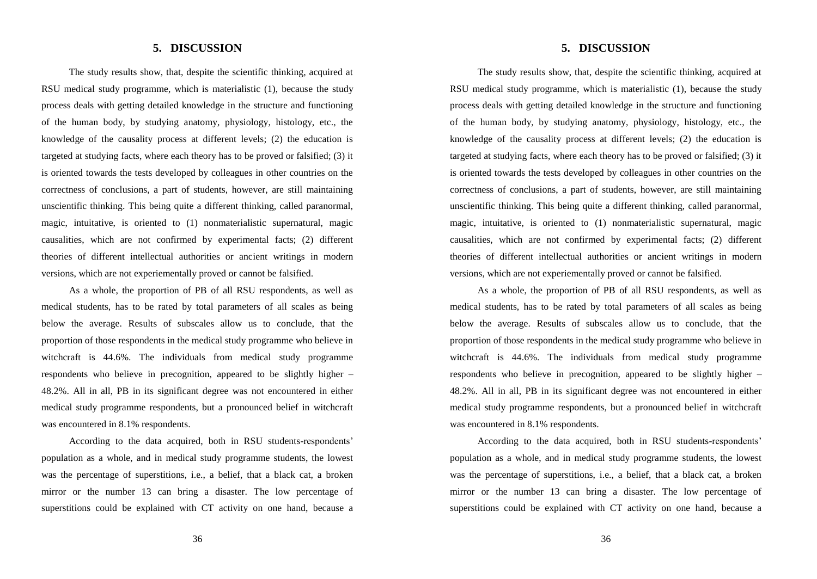## **5. DISCUSSION**

The study results show, that, despite the scientific thinking, acquired at RSU medical study programme, which is materialistic (1), because the study process deals with getting detailed knowledge in the structure and functioning of the human body, by studying anatomy, physiology, histology, etc., the knowledge of the causality process at different levels; (2) the education is targeted at studying facts, where each theory has to be proved or falsified; (3) it is oriented towards the tests developed by colleagues in other countries on the correctness of conclusions, a part of students, however, are still maintaining unscientific thinking. This being quite a different thinking, called paranormal, magic, intuitative, is oriented to (1) nonmaterialistic supernatural, magic causalities, which are not confirmed by experimental facts; (2) different theories of different intellectual authorities or ancient writings in modern versions, which are not experiementally proved or cannot be falsified.

As a whole, the proportion of PB of all RSU respondents, as well as medical students, has to be rated by total parameters of all scales as being below the average. Results of subscales allow us to conclude, that the proportion of those respondents in the medical study programme who believe in witchcraft is 44.6%. The individuals from medical study programme respondents who believe in precognition, appeared to be slightly higher – 48.2%. All in all, PB in its significant degree was not encountered in either medical study programme respondents, but a pronounced belief in witchcraft was encountered in 8.1% respondents.

According to the data acquired, both in RSU students-respondents' population as a whole, and in medical study programme students, the lowest was the percentage of superstitions, i.e., a belief, that a black cat, a broken mirror or the number 13 can bring a disaster. The low percentage of superstitions could be explained with CT activity on one hand, because a

36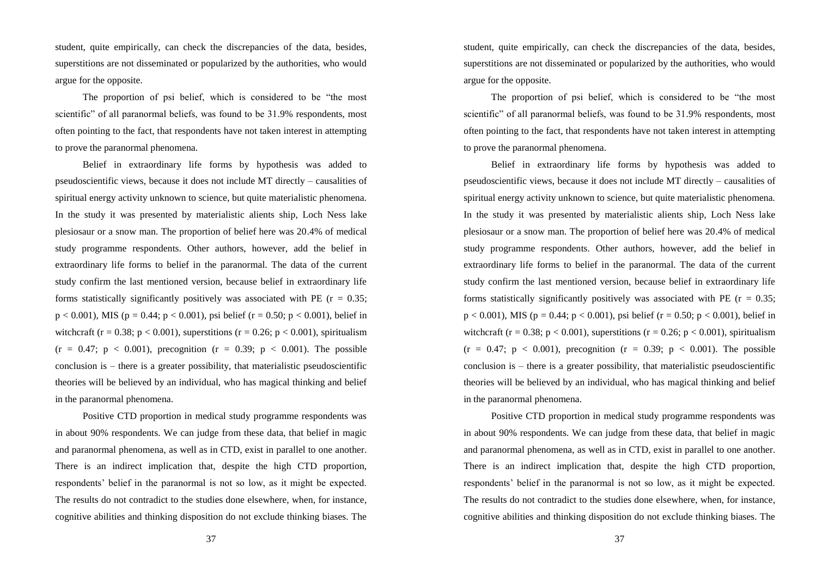student, quite empirically, can check the discrepancies of the data, besides, superstitions are not disseminated or popularized by the authorities, who would argue for the opposite.

The proportion of psi belief, which is considered to be "the most scientific" of all paranormal beliefs, was found to be 31.9% respondents, most often pointing to the fact, that respondents have not taken interest in attempting to prove the paranormal phenomena.

Belief in extraordinary life forms by hypothesis was added to pseudoscientific views, because it does not include MT directly – causalities of spiritual energy activity unknown to science, but quite materialistic phenomena. In the study it was presented by materialistic alients ship, Loch Ness lake plesiosaur or a snow man. The proportion of belief here was 20.4% of medical study programme respondents. Other authors, however, add the belief in extraordinary life forms to belief in the paranormal. The data of the current study confirm the last mentioned version, because belief in extraordinary life forms statistically significantly positively was associated with PE ( $r = 0.35$ ;  $p < 0.001$ ), MIS ( $p = 0.44$ ;  $p < 0.001$ ), psi belief ( $r = 0.50$ ;  $p < 0.001$ ), belief in witchcraft (r = 0.38; p < 0.001), superstitions (r = 0.26; p < 0.001), spiritualism  $(r = 0.47; p < 0.001)$ , precognition  $(r = 0.39; p < 0.001)$ . The possible conclusion is – there is a greater possibility, that materialistic pseudoscientific theories will be believed by an individual, who has magical thinking and belief in the paranormal phenomena.

Positive CTD proportion in medical study programme respondents was in about 90% respondents. We can judge from these data, that belief in magic and paranormal phenomena, as well as in CTD, exist in parallel to one another. There is an indirect implication that, despite the high CTD proportion, respondents' belief in the paranormal is not so low, as it might be expected. The results do not contradict to the studies done elsewhere, when, for instance, cognitive abilities and thinking disposition do not exclude thinking biases. The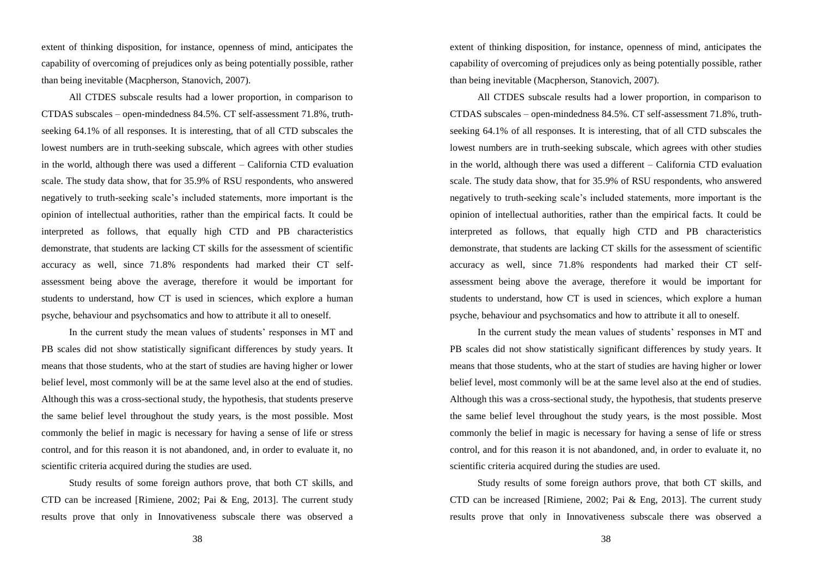extent of thinking disposition, for instance, openness of mind, anticipates the capability of overcoming of prejudices only as being potentially possible, rather than being inevitable (Macpherson, Stanovich, 2007).

All CTDES subscale results had a lower proportion, in comparison to CTDAS subscales – open-mindedness 84.5%. CT self-assessment 71.8%, truthseeking 64.1% of all responses. It is interesting, that of all CTD subscales the lowest numbers are in truth-seeking subscale, which agrees with other studies in the world, although there was used a different – California CTD evaluation scale. The study data show, that for 35.9% of RSU respondents, who answered negatively to truth-seeking scale's included statements, more important is the opinion of intellectual authorities, rather than the empirical facts. It could be interpreted as follows, that equally high CTD and PB characteristics demonstrate, that students are lacking CT skills for the assessment of scientific accuracy as well, since 71.8% respondents had marked their CT selfassessment being above the average, therefore it would be important for students to understand, how CT is used in sciences, which explore a human psyche, behaviour and psychsomatics and how to attribute it all to oneself.

In the current study the mean values of students' responses in MT and PB scales did not show statistically significant differences by study years. It means that those students, who at the start of studies are having higher or lower belief level, most commonly will be at the same level also at the end of studies. Although this was a cross-sectional study, the hypothesis, that students preserve the same belief level throughout the study years, is the most possible. Most commonly the belief in magic is necessary for having a sense of life or stress control, and for this reason it is not abandoned, and, in order to evaluate it, no scientific criteria acquired during the studies are used.

Study results of some foreign authors prove, that both CT skills, and CTD can be increased [Rimiene, 2002; Pai & Eng, 2013]. The current study results prove that only in Innovativeness subscale there was observed a

38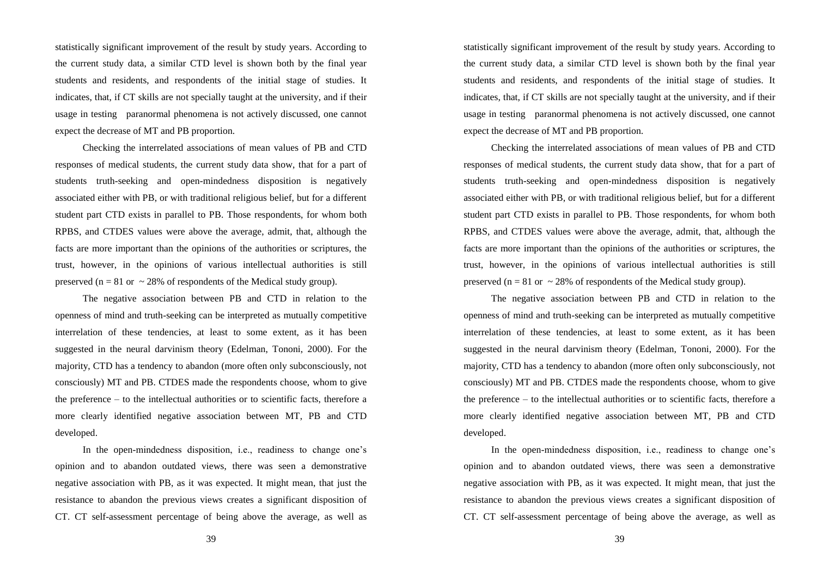statistically significant improvement of the result by study years. According to the current study data, a similar CTD level is shown both by the final year students and residents, and respondents of the initial stage of studies. It indicates, that, if CT skills are not specially taught at the university, and if their usage in testing paranormal phenomena is not actively discussed, one cannot expect the decrease of MT and PB proportion.

Checking the interrelated associations of mean values of PB and CTD responses of medical students, the current study data show, that for a part of students truth-seeking and open-mindedness disposition is negatively associated either with PB, or with traditional religious belief, but for a different student part CTD exists in parallel to PB. Those respondents, for whom both RPBS, and CTDES values were above the average, admit, that, although the facts are more important than the opinions of the authorities or scriptures, the trust, however, in the opinions of various intellectual authorities is still preserved ( $n = 81$  or  $\sim 28\%$  of respondents of the Medical study group).

The negative association between PB and CTD in relation to the openness of mind and truth-seeking can be interpreted as mutually competitive interrelation of these tendencies, at least to some extent, as it has been suggested in the neural darvinism theory (Edelman, Tononi, 2000). For the majority, CTD has a tendency to abandon (more often only subconsciously, not consciously) MT and PB. CTDES made the respondents choose, whom to give the preference – to the intellectual authorities or to scientific facts, therefore a more clearly identified negative association between MT, PB and CTD developed.

In the open-mindedness disposition, i.e., readiness to change one's opinion and to abandon outdated views, there was seen a demonstrative negative association with PB, as it was expected. It might mean, that just the resistance to abandon the previous views creates a significant disposition of CT. CT self-assessment percentage of being above the average, as well as

39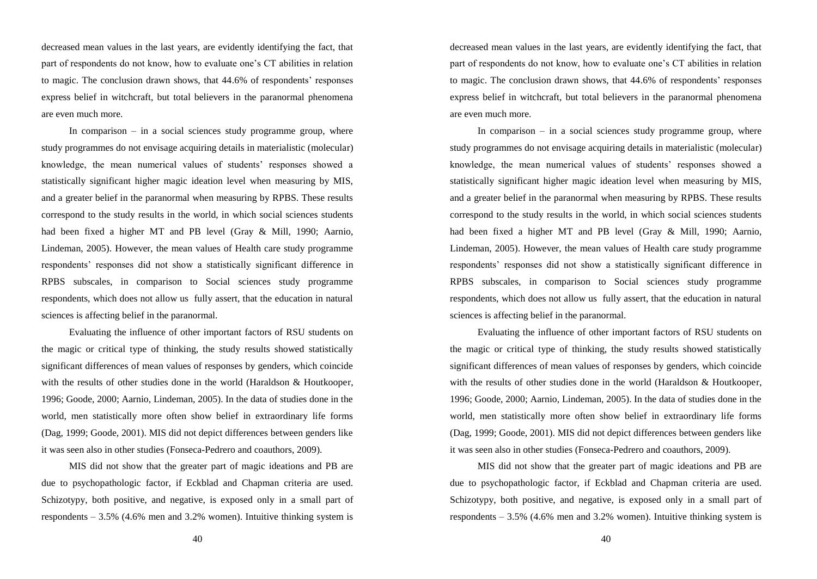decreased mean values in the last years, are evidently identifying the fact, that part of respondents do not know, how to evaluate one's CT abilities in relation to magic. The conclusion drawn shows, that 44.6% of respondents' responses express belief in witchcraft, but total believers in the paranormal phenomena are even much more.

In comparison – in a social sciences study programme group, where study programmes do not envisage acquiring details in materialistic (molecular) knowledge, the mean numerical values of students' responses showed a statistically significant higher magic ideation level when measuring by MIS, and a greater belief in the paranormal when measuring by RPBS. These results correspond to the study results in the world, in which social sciences students had been fixed a higher MT and PB level (Gray & Mill, 1990; Aarnio, Lindeman, 2005). However, the mean values of Health care study programme respondents' responses did not show a statistically significant difference in RPBS subscales, in comparison to Social sciences study programme respondents, which does not allow us fully assert, that the education in natural sciences is affecting belief in the paranormal.

Evaluating the influence of other important factors of RSU students on the magic or critical type of thinking, the study results showed statistically significant differences of mean values of responses by genders, which coincide with the results of other studies done in the world (Haraldson & Houtkooper, 1996; Goode, 2000; Aarnio, Lindeman, 2005). In the data of studies done in the world, men statistically more often show belief in extraordinary life forms (Dag, 1999; Goode, 2001). MIS did not depict differences between genders like it was seen also in other studies (Fonseca-Pedrero and coauthors, 2009).

MIS did not show that the greater part of magic ideations and PB are due to psychopathologic factor, if Eckblad and Chapman criteria are used. Schizotypy, both positive, and negative, is exposed only in a small part of respondents  $-3.5\%$  (4.6% men and 3.2% women). Intuitive thinking system is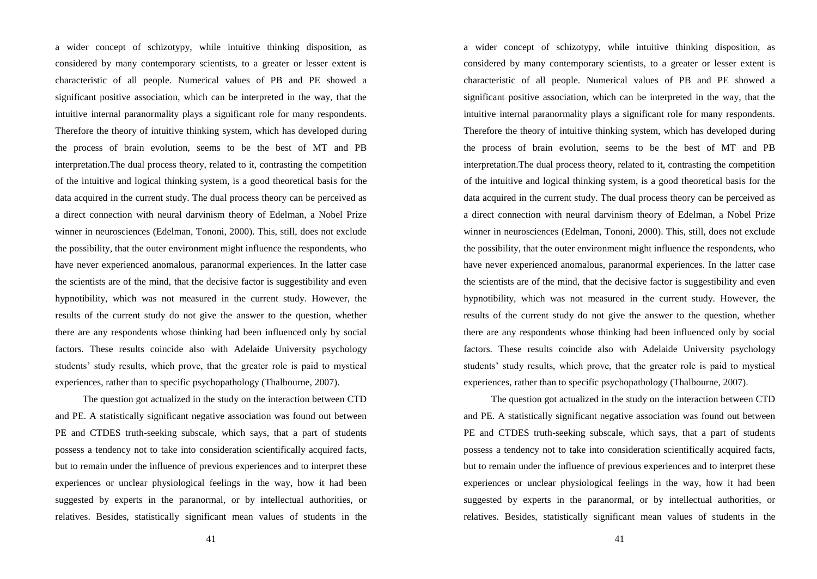a wider concept of schizotypy, while intuitive thinking disposition, as considered by many contemporary scientists, to a greater or lesser extent is characteristic of all people. Numerical values of PB and PE showed a significant positive association, which can be interpreted in the way, that the intuitive internal paranormality plays a significant role for many respondents. Therefore the theory of intuitive thinking system, which has developed during the process of brain evolution, seems to be the best of MT and PB interpretation.The dual process theory, related to it, contrasting the competition of the intuitive and logical thinking system, is a good theoretical basis for the data acquired in the current study. The dual process theory can be perceived as a direct connection with neural darvinism theory of Edelman, a Nobel Prize winner in neurosciences (Edelman, Tononi, 2000). This, still, does not exclude the possibility, that the outer environment might influence the respondents, who have never experienced anomalous, paranormal experiences. In the latter case the scientists are of the mind, that the decisive factor is suggestibility and even hypnotibility, which was not measured in the current study. However, the results of the current study do not give the answer to the question, whether there are any respondents whose thinking had been influenced only by social factors. These results coincide also with Adelaide University psychology students' study results, which prove, that the greater role is paid to mystical experiences, rather than to specific psychopathology (Thalbourne, 2007).

The question got actualized in the study on the interaction between CTD and PE. A statistically significant negative association was found out between PE and CTDES truth-seeking subscale, which says, that a part of students possess a tendency not to take into consideration scientifically acquired facts, but to remain under the influence of previous experiences and to interpret these experiences or unclear physiological feelings in the way, how it had been suggested by experts in the paranormal, or by intellectual authorities, or relatives. Besides, statistically significant mean values of students in the

41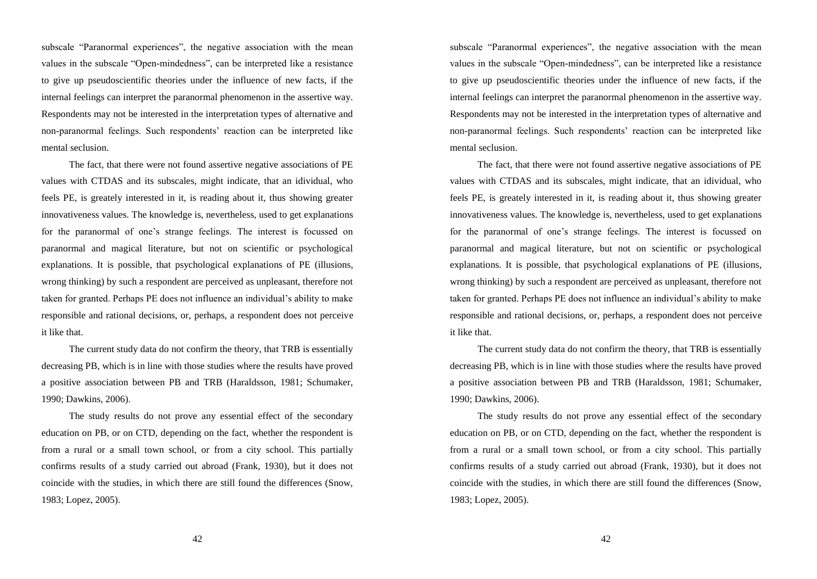subscale "Paranormal experiences", the negative association with the mean values in the subscale "Open-mindedness", can be interpreted like a resistance to give up pseudoscientific theories under the influence of new facts, if the internal feelings can interpret the paranormal phenomenon in the assertive way. Respondents may not be interested in the interpretation types of alternative and non-paranormal feelings. Such respondents' reaction can be interpreted like mental seclusion.

The fact, that there were not found assertive negative associations of PE values with CTDAS and its subscales, might indicate, that an idividual, who feels PE, is greately interested in it, is reading about it, thus showing greater innovativeness values. The knowledge is, nevertheless, used to get explanations for the paranormal of one's strange feelings. The interest is focussed on paranormal and magical literature, but not on scientific or psychological explanations. It is possible, that psychological explanations of PE (illusions, wrong thinking) by such a respondent are perceived as unpleasant, therefore not taken for granted. Perhaps PE does not influence an individual's ability to make responsible and rational decisions, or, perhaps, a respondent does not perceive it like that.

The current study data do not confirm the theory, that TRB is essentially decreasing PB, which is in line with those studies where the results have proved a positive association between PB and TRB (Haraldsson, 1981; Schumaker, 1990; Dawkins, 2006).

The study results do not prove any essential effect of the secondary education on PB, or on CTD, depending on the fact, whether the respondent is from a rural or a small town school, or from a city school. This partially confirms results of a study carried out abroad (Frank, 1930), but it does not coincide with the studies, in which there are still found the differences (Snow, 1983; Lopez, 2005).

42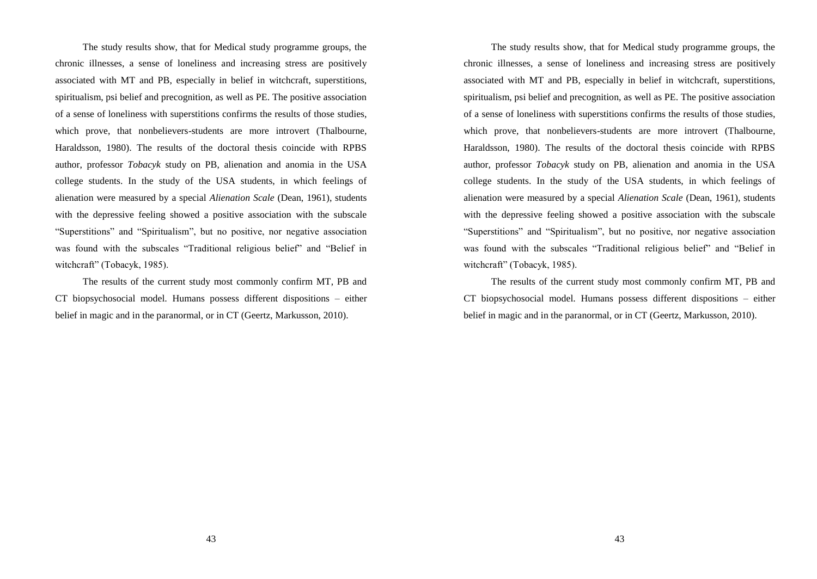The study results show, that for Medical study programme groups, the chronic illnesses, a sense of loneliness and increasing stress are positively associated with MT and PB, especially in belief in witchcraft, superstitions, spiritualism, psi belief and precognition, as well as PE. The positive association of a sense of loneliness with superstitions confirms the results of those studies, which prove, that nonbelievers-students are more introvert (Thalbourne, Haraldsson, 1980). The results of the doctoral thesis coincide with RPBS author, professor *Tobacyk* study on PB, alienation and anomia in the USA college students. In the study of the USA students, in which feelings of alienation were measured by a special *Alienation Scale* (Dean, 1961), students with the depressive feeling showed a positive association with the subscale "Superstitions" and "Spiritualism", but no positive, nor negative association was found with the subscales "Traditional religious belief" and "Belief in witchcraft" (Tobacyk, 1985).

The results of the current study most commonly confirm MT, PB and CT biopsychosocial model. Humans possess different dispositions – either belief in magic and in the paranormal, or in CT (Geertz, Markusson, 2010).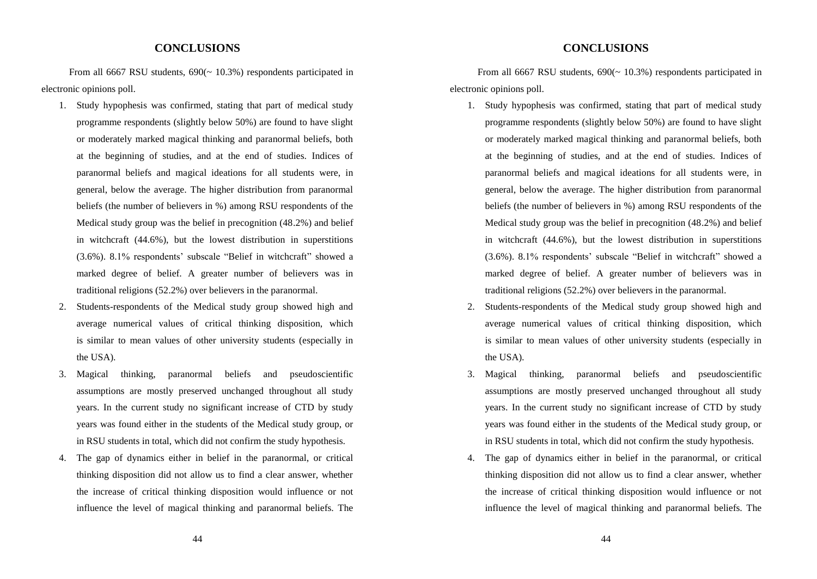## **CONCLUSIONS**

From all 6667 RSU students,  $690(~10.3%)$  respondents participated in electronic opinions poll.

- 1. Study hypophesis was confirmed, stating that part of medical study programme respondents (slightly below 50%) are found to have slight or moderately marked magical thinking and paranormal beliefs, both at the beginning of studies, and at the end of studies. Indices of paranormal beliefs and magical ideations for all students were, in general, below the average. The higher distribution from paranormal beliefs (the number of believers in %) among RSU respondents of the Medical study group was the belief in precognition (48.2%) and belief in witchcraft (44.6%), but the lowest distribution in superstitions (3.6%). 8.1% respondents' subscale "Belief in witchcraft" showed a marked degree of belief. A greater number of believers was in traditional religions (52.2%) over believers in the paranormal.
- 2. Students-respondents of the Medical study group showed high and average numerical values of critical thinking disposition, which is similar to mean values of other university students (especially in the USA).
- 3. Magical thinking, paranormal beliefs and pseudoscientific assumptions are mostly preserved unchanged throughout all study years. In the current study no significant increase of CTD by study years was found either in the students of the Medical study group, or in RSU students in total, which did not confirm the study hypothesis.
- 4. The gap of dynamics either in belief in the paranormal, or critical thinking disposition did not allow us to find a clear answer, whether the increase of critical thinking disposition would influence or not influence the level of magical thinking and paranormal beliefs. The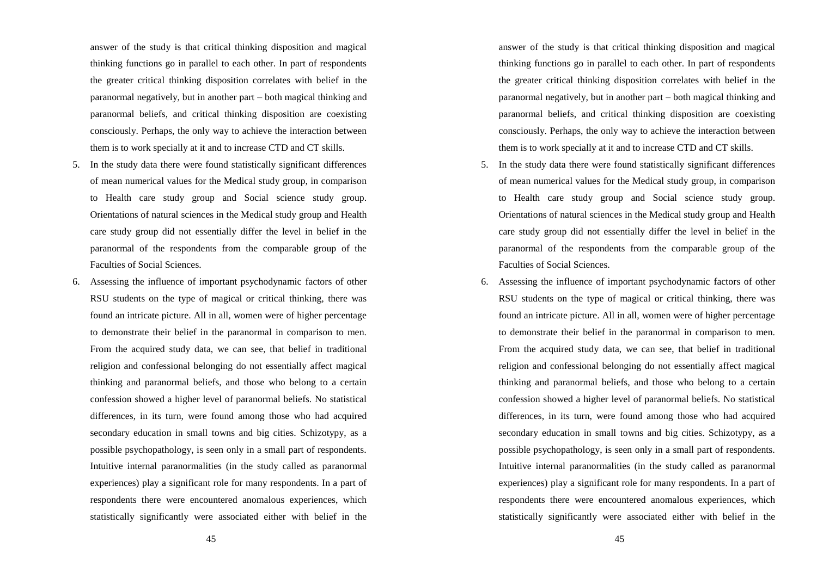answer of the study is that critical thinking disposition and magical thinking functions go in parallel to each other. In part of respondents the greater critical thinking disposition correlates with belief in the paranormal negatively, but in another part – both magical thinking and paranormal beliefs, and critical thinking disposition are coexisting consciously. Perhaps, the only way to achieve the interaction between them is to work specially at it and to increase CTD and CT skills.

- 5. In the study data there were found statistically significant differences of mean numerical values for the Medical study group, in comparison to Health care study group and Social science study group. Orientations of natural sciences in the Medical study group and Health care study group did not essentially differ the level in belief in the paranormal of the respondents from the comparable group of the Faculties of Social Sciences.
- 6. Assessing the influence of important psychodynamic factors of other RSU students on the type of magical or critical thinking, there was found an intricate picture. All in all, women were of higher percentage to demonstrate their belief in the paranormal in comparison to men. From the acquired study data, we can see, that belief in traditional religion and confessional belonging do not essentially affect magical thinking and paranormal beliefs, and those who belong to a certain confession showed a higher level of paranormal beliefs. No statistical differences, in its turn, were found among those who had acquired secondary education in small towns and big cities. Schizotypy, as a possible psychopathology, is seen only in a small part of respondents. Intuitive internal paranormalities (in the study called as paranormal experiences) play a significant role for many respondents. In a part of respondents there were encountered anomalous experiences, which statistically significantly were associated either with belief in the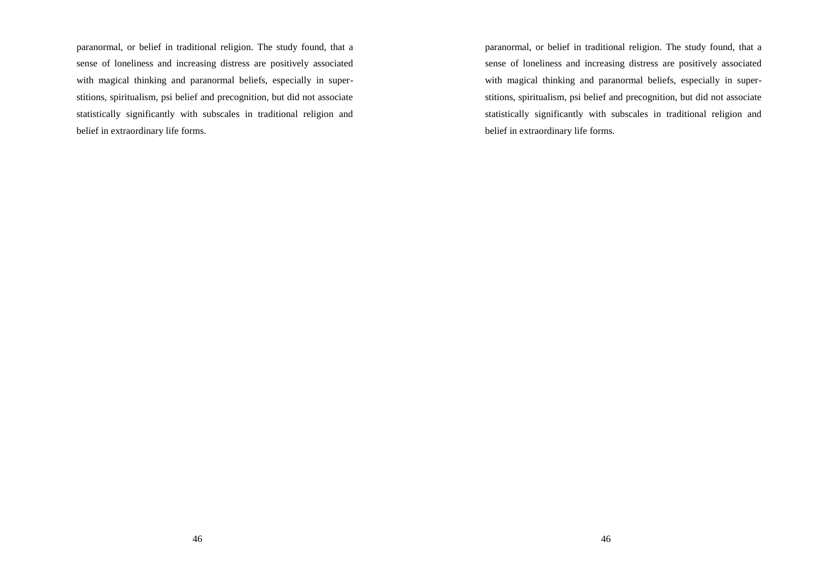paranormal, or belief in traditional religion. The study found, that a sense of loneliness and increasing distress are positively associated with magical thinking and paranormal beliefs, especially in superstitions, spiritualism, psi belief and precognition, but did not associate statistically significantly with subscales in traditional religion and belief in extraordinary life forms.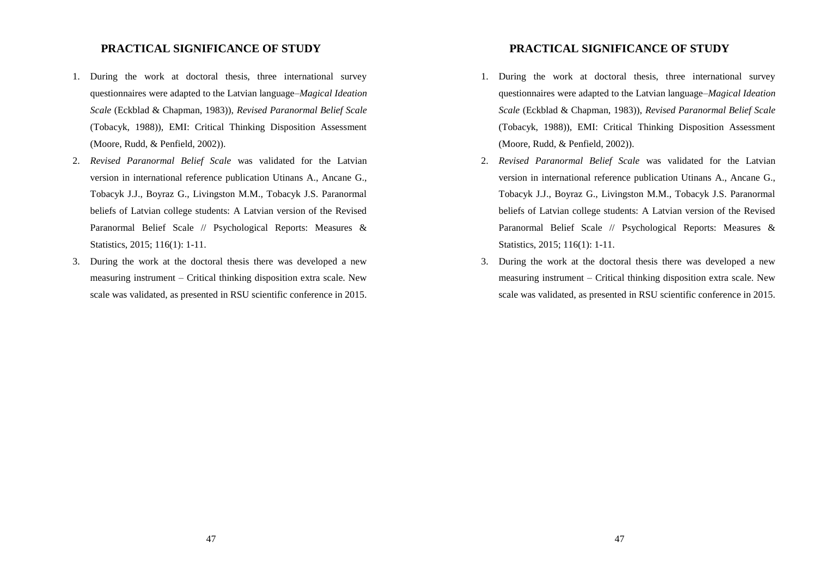## **PRACTICAL SIGNIFICANCE OF STUDY**

- 1. During the work at doctoral thesis, three international survey questionnaires were adapted to the Latvian language–*Magical Ideation Scale* (Eckblad & Chapman, 1983)), *Revised Paranormal Belief Scale* (Tobacyk, 1988)), EMI: Critical Thinking Disposition Assessment (Moore, Rudd, & Penfield, 2002)).
- 2. *Revised Paranormal Belief Scale* was validated for the Latvian version in international reference publication Utinans A., Ancane G., Tobacyk J.J., Boyraz G., Livingston M.M., Tobacyk J.S. Paranormal beliefs of Latvian college students: A Latvian version of the Revised Paranormal Belief Scale // Psychological Reports: Measures & Statistics, 2015; 116(1): 1-11.
- 3. During the work at the doctoral thesis there was developed a new measuring instrument – Critical thinking disposition extra scale. New scale was validated, as presented in RSU scientific conference in 2015.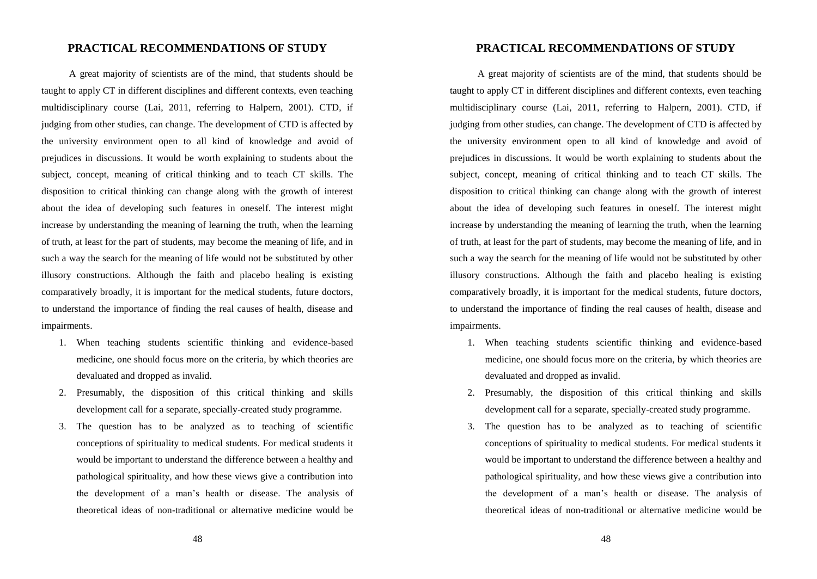#### **PRACTICAL RECOMMENDATIONS OF STUDY**

A great majority of scientists are of the mind, that students should be taught to apply CT in different disciplines and different contexts, even teaching multidisciplinary course (Lai, 2011, referring to Halpern, 2001). CTD, if judging from other studies, can change. The development of CTD is affected by the university environment open to all kind of knowledge and avoid of prejudices in discussions. It would be worth explaining to students about the subject, concept, meaning of critical thinking and to teach CT skills. The disposition to critical thinking can change along with the growth of interest about the idea of developing such features in oneself. The interest might increase by understanding the meaning of learning the truth, when the learning of truth, at least for the part of students, may become the meaning of life, and in such a way the search for the meaning of life would not be substituted by other illusory constructions. Although the faith and placebo healing is existing comparatively broadly, it is important for the medical students, future doctors, to understand the importance of finding the real causes of health, disease and impairments.

- 1. When teaching students scientific thinking and evidence-based medicine, one should focus more on the criteria, by which theories are devaluated and dropped as invalid.
- 2. Presumably, the disposition of this critical thinking and skills development call for a separate, specially-created study programme.
- 3. The question has to be analyzed as to teaching of scientific conceptions of spirituality to medical students. For medical students it would be important to understand the difference between a healthy and pathological spirituality, and how these views give a contribution into the development of a man's health or disease. The analysis of theoretical ideas of non-traditional or alternative medicine would be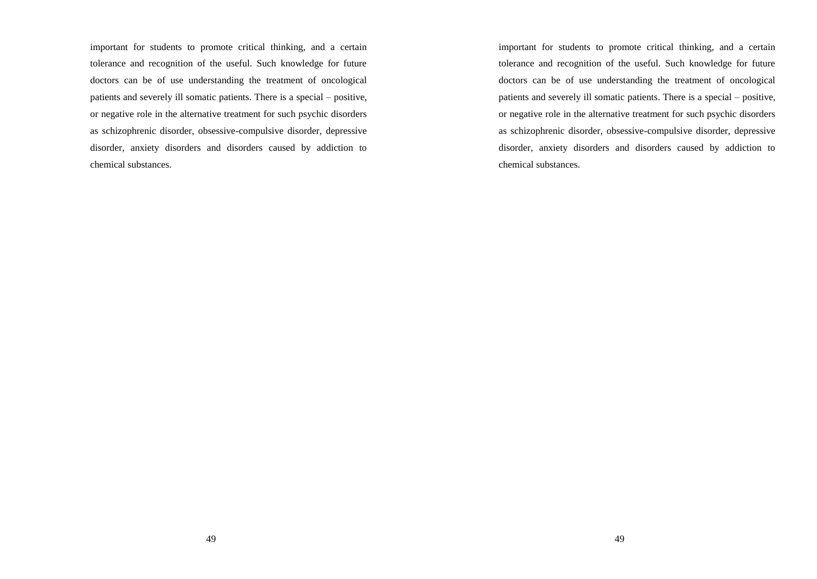important for students to promote critical thinking, and a certain tolerance and recognition of the useful. Such knowledge for future doctors can be of use understanding the treatment of oncological patients and severely ill somatic patients. There is a special – positive, or negative role in the alternative treatment for such psychic disorders as schizophrenic disorder, obsessive-compulsive disorder, depressive disorder, anxiety disorders and disorders caused by addiction to chemical substances.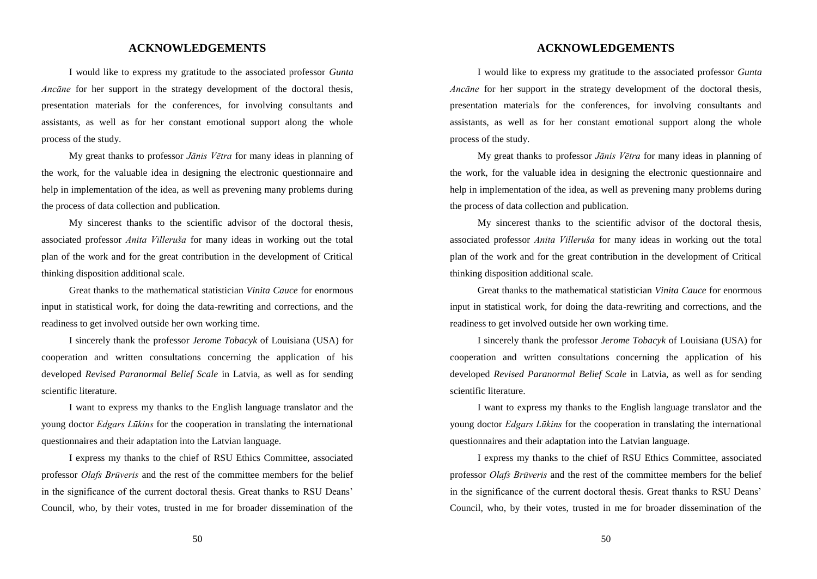#### **ACKNOWLEDGEMENTS**

I would like to express my gratitude to the associated professor *Gunta Ancāne* for her support in the strategy development of the doctoral thesis, presentation materials for the conferences, for involving consultants and assistants, as well as for her constant emotional support along the whole process of the study.

My great thanks to professor *Jānis Vētra* for many ideas in planning of the work, for the valuable idea in designing the electronic questionnaire and help in implementation of the idea, as well as prevening many problems during the process of data collection and publication.

My sincerest thanks to the scientific advisor of the doctoral thesis, associated professor *Anita Villeruša* for many ideas in working out the total plan of the work and for the great contribution in the development of Critical thinking disposition additional scale.

Great thanks to the mathematical statistician *Vinita Cauce* for enormous input in statistical work, for doing the data-rewriting and corrections, and the readiness to get involved outside her own working time.

I sincerely thank the professor *Jerome Tobacyk* of Louisiana (USA) for cooperation and written consultations concerning the application of his developed *Revised Paranormal Belief Scale* in Latvia, as well as for sending scientific literature.

I want to express my thanks to the English language translator and the young doctor *Edgars Lūkins* for the cooperation in translating the international questionnaires and their adaptation into the Latvian language.

I express my thanks to the chief of RSU Ethics Committee, associated professor *Olafs Brūveris* and the rest of the committee members for the belief in the significance of the current doctoral thesis. Great thanks to RSU Deans' Council, who, by their votes, trusted in me for broader dissemination of the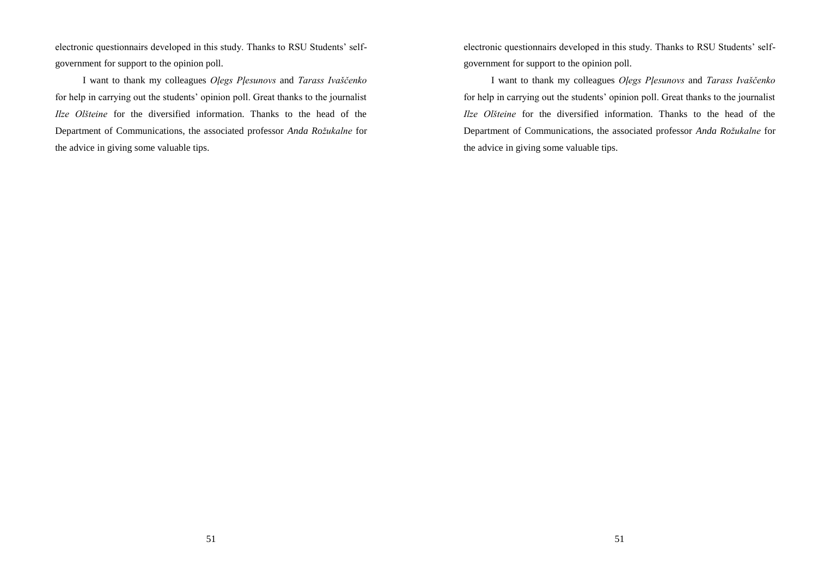electronic questionnairs developed in this study. Thanks to RSU Students' selfgovernment for support to the opinion poll.

I want to thank my colleagues *Oļegs Pļesunovs* and *Tarass Ivaščenko* for help in carrying out the students' opinion poll. Great thanks to the journalist *Ilze Olšteine* for the diversified information. Thanks to the head of the Department of Communications, the associated professor *Anda Rožukalne* for the advice in giving some valuable tips.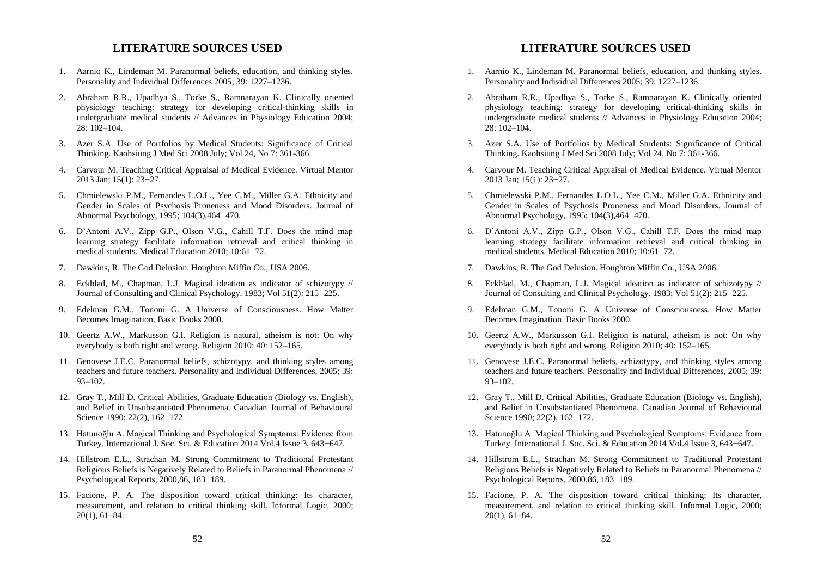## **LITERATURE SOURCES USED**

- 1. Aarnio K., Lindeman M. Paranormal beliefs, education, and thinking styles. Personality and Individual Differences 2005; 39: 1227–1236.
- 2. Abraham R.R., Upadhya S., Torke S., Ramnarayan K. Clinically oriented physiology teaching: strategy for developing critical-thinking skills in undergraduate medical students // Advances in Physiology Education 2004; 28: 102–104.
- 3. Azer S.A. Use of Portfolios by Medical Students: Significance of Critical Thinking. Kaohsiung J Med Sci 2008 July; Vol 24, No 7: 361-366.
- 4. Carvour M. Teaching Critical Appraisal of Medical Evidence. Virtual Mentor 2013 Jan; 15(1): 23−27.
- 5. Chmielewski P.M., Fernandes L.O.L., Yee C.M., Miller G.A. Ethnicity and Gender in Scales of Psychosis Proneness and Mood Disorders. Journal of Abnormal Psychology, 1995; 104(3),464−470.
- 6. D'Antoni A.V., Zipp G.P., Olson V.G., Cahill T.F. Does the mind map learning strategy facilitate information retrieval and critical thinking in medical students. Medical Education 2010; 10:61−72.
- 7. Dawkins, R. The God Delusion. Houghton Miffin Co., USA 2006.
- 8. Eckblad, M., Chapman, L.J. Magical ideation as indicator of schizotypy // Journal of Consulting and Clinical Psychology. 1983; Vol 51(2): 215−225.
- 9. Edelman G.M., Tononi G. A Universe of Consciousness. How Matter Becomes Imagination. Basic Books 2000.
- 10. Geertz A.W., Markusson G.I. Religion is natural, atheism is not: On why everybody is both right and wrong. Religion 2010; 40: 152–165.
- 11. Genovese J.E.C. Paranormal beliefs, schizotypy, and thinking styles among teachers and future teachers. Personality and Individual Differences, 2005; 39: 93–102.
- 12. Gray T., Mill D. Critical Abilities, Graduate Education (Biology vs. English), and Belief in Unsubstantiated Phenomena. Canadian Journal of Behavioural Science 1990; 22(2), 162−172.
- 13. Hatunoğlu A. Magical Thinking and Psychological Symptoms: Evidence from Turkey. International J. Soc. Sci. & Education 2014 Vol.4 Issue 3, 643−647.
- 14. Hillstrom E.L., Strachan M. Strong Commitment to Traditional Protestant Religious Beliefs is Negatively Related to Beliefs in Paranormal Phenomena // Psychological Reports, 2000,86, 183−189.
- 15. Facione, P. A. The disposition toward critical thinking: Its character, measurement, and relation to critical thinking skill. Informal Logic, 2000; 20(1), 61–84.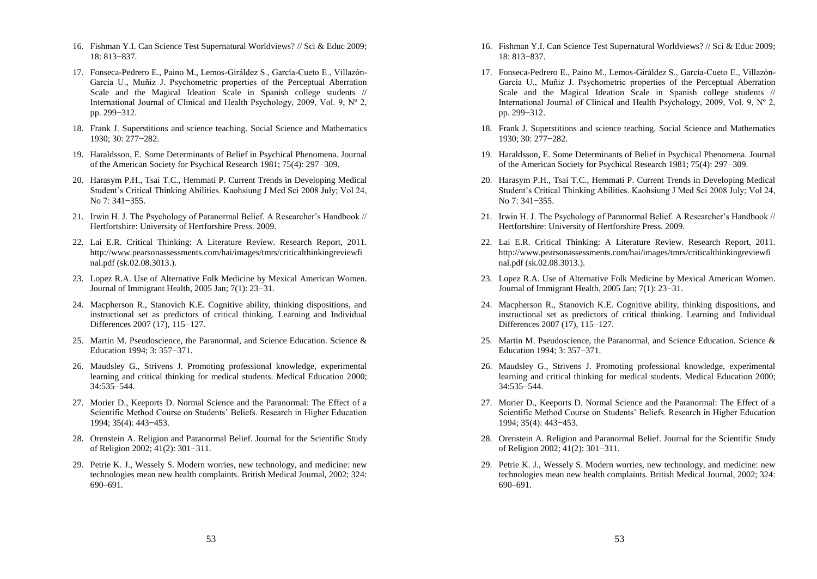- 16. Fishman Y.I. Can Science Test Supernatural Worldviews? // Sci & Educ 2009; 18: 813−837.
- 17. Fonseca-Pedrero E., Paino M., Lemos-Giráldez S., García-Cueto E., Villazón-García U., Muñiz J. Psychometric properties of the Perceptual Aberration Scale and the Magical Ideation Scale in Spanish college students // International Journal of Clinical and Health Psychology, 2009, Vol. 9, Nº 2, pp. 299−312.
- 18. Frank J. Superstitions and science teaching. Social Science and Mathematics 1930; 30: 277−282.
- 19. Haraldsson, E. Some Determinants of Belief in Psychical Phenomena. Journal of the American Society for Psychical Research 1981; 75(4): 297−309.
- 20. Harasym P.H., Tsai T.C., Hemmati P. Current Trends in Developing Medical Student's Critical Thinking Abilities. Kaohsiung J Med Sci 2008 July; Vol 24, No 7: 341−355.
- 21. Irwin H. J. The Psychology of Paranormal Belief. A Researcher's Handbook // Hertfortshire: University of Hertforshire Press. 2009.
- 22. Lai E.R. Critical Thinking: A Literature Review. Research Report, 2011. http://www.pearsonassessments.com/hai/images/tmrs/criticalthinkingreviewfi nal.pdf (sk.02.08.3013.).
- 23. Lopez R.A. Use of Alternative Folk Medicine by Mexical American Women. Journal of Immigrant Health, 2005 Jan; 7(1): 23−31.
- 24. Macpherson R., Stanovich K.E. Cognitive ability, thinking dispositions, and instructional set as predictors of critical thinking. Learning and Individual Differences 2007 (17), 115−127.
- 25. Martin M. Pseudoscience, the Paranormal, and Science Education. Science & Education 1994; 3: 357−371.
- 26. Maudsley G., Strivens J. Promoting professional knowledge, experimental learning and critical thinking for medical students. Medical Education 2000; 34:535−544.
- 27. Morier D., Keeports D. Normal Science and the Paranormal: The Effect of a Scientific Method Course on Students' Beliefs. Research in Higher Education 1994; 35(4): 443−453.
- 28. Orenstein A. Religion and Paranormal Belief. Journal for the Scientific Study of Religion 2002; 41(2): 301−311.
- 29. Petrie K. J., Wessely S. Modern worries, new technology, and medicine: new technologies mean new health complaints. British Medical Journal, 2002; 324: 690–691.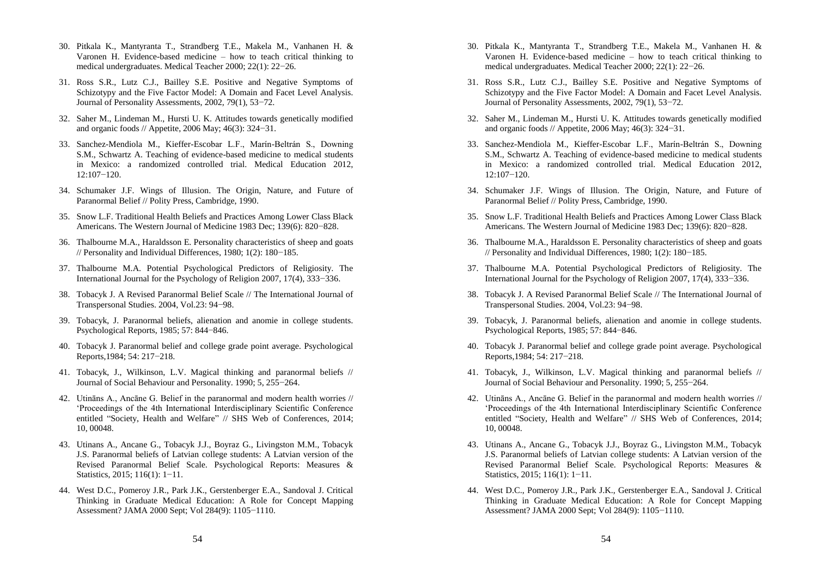- 30. Pitkala K., Mantyranta T., Strandberg T.E., Makela M., Vanhanen H. & Varonen H. Evidence-based medicine – how to teach critical thinking to medical undergraduates. Medical Teacher 2000; 22(1): 22−26.
- 31. Ross S.R., Lutz C.J., Bailley S.E. Positive and Negative Symptoms of Schizotypy and the Five Factor Model: A Domain and Facet Level Analysis. Journal of Personality Assessments, 2002, 79(1), 53−72.
- 32. Saher M., Lindeman M., Hursti U. K. Attitudes towards genetically modified and organic foods // Appetite, 2006 May; 46(3): 324−31.
- 33. Sanchez-Mendiola M., Kieffer-Escobar L.F., Marín-Beltrán S., Downing S.M., Schwartz A. Teaching of evidence-based medicine to medical students in Mexico: a randomized controlled trial. Medical Education 2012, 12:107−120.
- 34. Schumaker J.F. Wings of Illusion. The Origin, Nature, and Future of Paranormal Belief // Polity Press, Cambridge, 1990.
- 35. Snow L.F. Traditional Health Beliefs and Practices Among Lower Class Black Americans. The Western Journal of Medicine 1983 Dec; 139(6): 820−828.
- 36. Thalbourne M.A., Haraldsson E. Personality characteristics of sheep and goats // Personality and Individual Differences, 1980; 1(2): 180−185.
- 37. Thalbourne M.A. Potential Psychological Predictors of Religiosity. The International Journal for the Psychology of Religion 2007, 17(4), 333−336.
- 38. Tobacyk J. A Revised Paranormal Belief Scale // The International Journal of Transpersonal Studies. 2004, Vol.23: 94−98.
- 39. Tobacyk, J. Paranormal beliefs, alienation and anomie in college students. Psychological Reports, 1985; 57: 844−846.
- 40. Tobacyk J. Paranormal belief and college grade point average. Psychological Reports,1984; 54: 217−218.
- 41. Tobacyk, J., Wilkinson, L.V. Magical thinking and paranormal beliefs // Journal of Social Behaviour and Personality. 1990; 5, 255−264.
- 42. Utināns A., Ancāne G. Belief in the paranormal and modern health worries // 'Proceedings of the 4th International Interdisciplinary Scientific Conference entitled "Society, Health and Welfare" // SHS Web of Conferences, 2014; 10, 00048.
- 43. Utinans A., Ancane G., Tobacyk J.J., Boyraz G., Livingston M.M., Tobacyk J.S. Paranormal beliefs of Latvian college students: A Latvian version of the Revised Paranormal Belief Scale. Psychological Reports: Measures & Statistics, 2015; 116(1): 1−11.
- 44. West D.C., Pomeroy J.R., Park J.K., Gerstenberger E.A., Sandoval J. Critical Thinking in Graduate Medical Education: A Role for Concept Mapping Assessment? JAMA 2000 Sept; Vol 284(9): 1105−1110.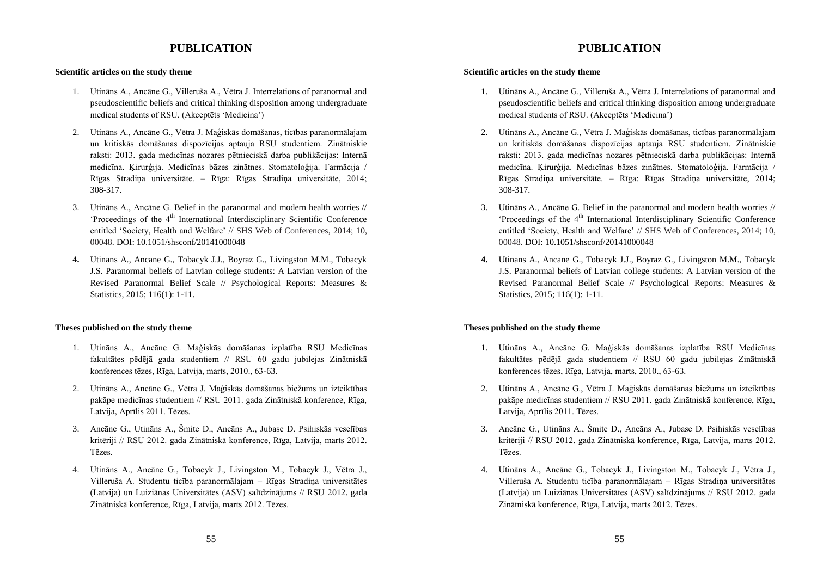# **PUBLICATION**

#### **Scientific articles on the study theme**

- 1. Utināns A., Ancāne G., Villeruša A., Vētra J. Interrelations of paranormal and pseudoscientific beliefs and critical thinking disposition among undergraduate medical students of RSU. (Akceptēts 'Medicina')
- 2. Utināns A., Ancāne G., Vētra J. Maģiskās domāšanas, ticības paranormālajam un kritiskās domāšanas dispozīcijas aptauja RSU studentiem. Zinātniskie raksti: 2013. gada medicīnas nozares pētnieciskā darba publikācijas: Internā medicīna. Ķirurģija. Medicīnas bāzes zinātnes. Stomatoloģija. Farmācija / Rīgas Stradiņa universitāte. – Rīga: Rīgas Stradiņa universitāte, 2014; 308-317.
- 3. Utināns A., Ancāne G. Belief in the paranormal and modern health worries // 'Proceedings of the 4<sup>th</sup> International Interdisciplinary Scientific Conference entitled 'Society, Health and Welfare' // SHS Web of Conferences, 2014; 10, 00048. DOI: 10.1051/shsconf/20141000048
- **4.** Utinans A., Ancane G., Tobacyk J.J., Boyraz G., Livingston M.M., Tobacyk J.S. Paranormal beliefs of Latvian college students: A Latvian version of the Revised Paranormal Belief Scale // Psychological Reports: Measures & Statistics, 2015; 116(1): 1-11.

#### **Theses published on the study theme**

- 1. Utināns A., Ancāne G. Maģiskās domāšanas izplatība RSU Medicīnas fakultātes pēdējā gada studentiem // RSU 60 gadu jubilejas Zinātniskā konferences tēzes, Rīga, Latvija, marts, 2010., 63-63.
- 2. Utināns A., Ancāne G., Vētra J. Maģiskās domāšanas biežums un izteiktības pakāpe medicīnas studentiem // RSU 2011. gada Zinātniskā konference, Rīga, Latvija, Aprīlis 2011. Tēzes.
- 3. Ancāne G., Utināns A., Šmite D., Ancāns A., Jubase D. Psihiskās veselības kritēriji // RSU 2012. gada Zinātniskā konference, Rīga, Latvija, marts 2012. Tēzes.
- 4. Utināns A., Ancāne G., Tobacyk J., Livingston M., Tobacyk J., Vētra J., Villeruša A. Studentu ticība paranormālajam – Rīgas Stradiņa universitātes (Latvija) un Luiziānas Universitātes (ASV) salīdzinājums // RSU 2012. gada Zinātniskā konference, Rīga, Latvija, marts 2012. Tēzes.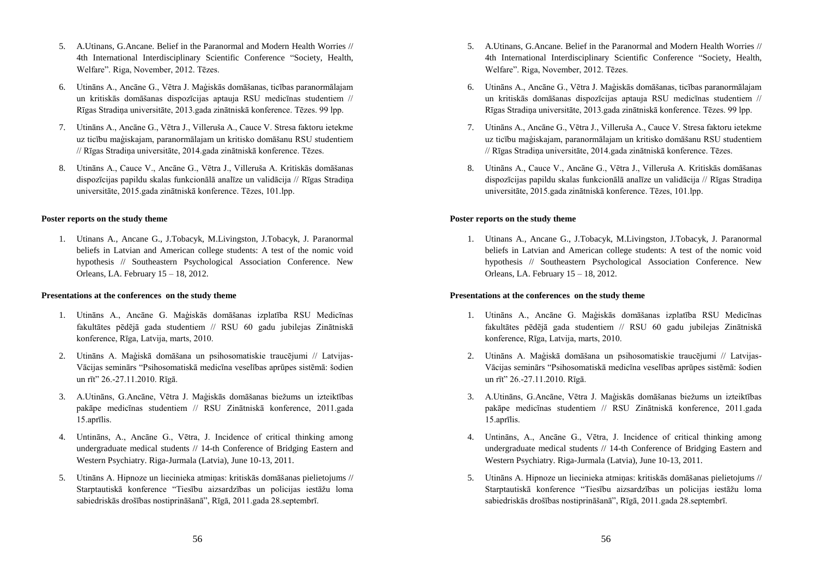- 5. A.Utinans, G.Ancane. Belief in the Paranormal and Modern Health Worries // 4th International Interdisciplinary Scientific Conference "Society, Health, Welfare". Riga, November, 2012. Tēzes.
- 6. Utināns A., Ancāne G., Vētra J. Maģiskās domāšanas, ticības paranormālajam un kritiskās domāšanas dispozīcijas aptauja RSU medicīnas studentiem // Rīgas Stradiņa universitāte, 2013.gada zinātniskā konference. Tēzes. 99 lpp.
- 7. Utināns A., Ancāne G., Vētra J., Villeruša A., Cauce V. Stresa faktoru ietekme uz ticību maģiskajam, paranormālajam un kritisko domāšanu RSU studentiem // Rīgas Stradiņa universitāte, 2014.gada zinātniskā konference. Tēzes.
- 8. Utināns A., Cauce V., Ancāne G., Vētra J., Villeruša A. Kritiskās domāšanas dispozīcijas papildu skalas funkcionālā analīze un validācija // Rīgas Stradiņa universitāte, 2015.gada zinātniskā konference. Tēzes, 101.lpp.

#### **Poster reports on the study theme**

1. Utinans A., Ancane G., J.Tobacyk, M.Livingston, J.Tobacyk, J. Paranormal beliefs in Latvian and American college students: A test of the nomic void hypothesis // Southeastern Psychological Association Conference. New Orleans, LA. February 15 – 18, 2012.

#### **Presentations at the conferences on the study theme**

- 1. Utināns A., Ancāne G. Maģiskās domāšanas izplatība RSU Medicīnas fakultātes pēdējā gada studentiem // RSU 60 gadu jubilejas Zinātniskā konference, Rīga, Latvija, marts, 2010.
- 2. Utināns A. Maģiskā domāšana un psihosomatiskie traucējumi // Latvijas-Vācijas seminārs "Psihosomatiskā medicīna veselības aprūpes sistēmā: šodien un rīt" 26.-27.11.2010. Rīgā.
- 3. A.Utināns, G.Ancāne, Vētra J. Maģiskās domāšanas biežums un izteiktības pakāpe medicīnas studentiem // RSU Zinātniskā konference, 2011.gada 15.aprīlis.
- 4. Untināns, A., Ancāne G., Vētra, J. Incidence of critical thinking among undergraduate medical students // 14-th Conference of Bridging Eastern and Western Psychiatry. Riga-Jurmala (Latvia), June 10-13, 2011.
- 5. Utināns A. Hipnoze un liecinieka atmiņas: kritiskās domāšanas pielietojums // Starptautiskā konference "Tiesību aizsardzības un policijas iestāžu loma sabiedriskās drošības nostiprināšanā", Rīgā, 2011.gada 28.septembrī.